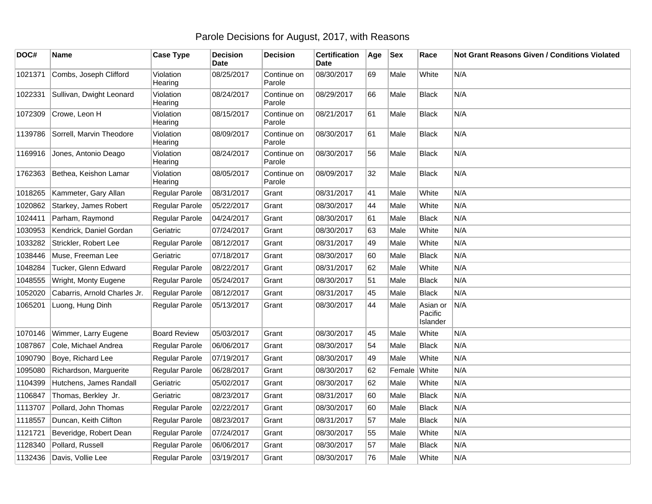## Parole Decisions for August, 2017, with Reasons

| DOC#    | Name                         | <b>Case Type</b>      | <b>Decision</b><br><b>Date</b> | <b>Decision</b>       | <b>Certification</b><br><b>Date</b> | Age | <b>Sex</b> | Race                            | Not Grant Reasons Given / Conditions Violated |
|---------|------------------------------|-----------------------|--------------------------------|-----------------------|-------------------------------------|-----|------------|---------------------------------|-----------------------------------------------|
| 1021371 | Combs, Joseph Clifford       | Violation<br>Hearing  | 08/25/2017                     | Continue on<br>Parole | 08/30/2017                          | 69  | Male       | White                           | N/A                                           |
| 1022331 | Sullivan, Dwight Leonard     | Violation<br>Hearing  | 08/24/2017                     | Continue on<br>Parole | 08/29/2017                          | 66  | Male       | <b>Black</b>                    | N/A                                           |
| 1072309 | Crowe, Leon H                | Violation<br>Hearing  | 08/15/2017                     | Continue on<br>Parole | 08/21/2017                          | 61  | Male       | <b>Black</b>                    | N/A                                           |
| 1139786 | Sorrell, Marvin Theodore     | Violation<br>Hearing  | 08/09/2017                     | Continue on<br>Parole | 08/30/2017                          | 61  | Male       | <b>Black</b>                    | N/A                                           |
| 1169916 | Jones, Antonio Deago         | Violation<br>Hearing  | 08/24/2017                     | Continue on<br>Parole | 08/30/2017                          | 56  | Male       | Black                           | N/A                                           |
| 1762363 | Bethea, Keishon Lamar        | Violation<br>Hearing  | 08/05/2017                     | Continue on<br>Parole | 08/09/2017                          | 32  | Male       | <b>Black</b>                    | N/A                                           |
| 1018265 | Kammeter, Gary Allan         | Regular Parole        | 08/31/2017                     | Grant                 | 08/31/2017                          | 41  | Male       | White                           | N/A                                           |
| 1020862 | Starkey, James Robert        | Regular Parole        | 05/22/2017                     | Grant                 | 08/30/2017                          | 44  | Male       | White                           | N/A                                           |
| 1024411 | Parham, Raymond              | Regular Parole        | 04/24/2017                     | Grant                 | 08/30/2017                          | 61  | Male       | <b>Black</b>                    | N/A                                           |
| 1030953 | Kendrick, Daniel Gordan      | Geriatric             | 07/24/2017                     | Grant                 | 08/30/2017                          | 63  | Male       | White                           | N/A                                           |
| 1033282 | Strickler, Robert Lee        | Regular Parole        | 08/12/2017                     | Grant                 | 08/31/2017                          | 49  | Male       | White                           | N/A                                           |
| 1038446 | Muse, Freeman Lee            | Geriatric             | 07/18/2017                     | Grant                 | 08/30/2017                          | 60  | Male       | <b>Black</b>                    | N/A                                           |
| 1048284 | Tucker, Glenn Edward         | Regular Parole        | 08/22/2017                     | Grant                 | 08/31/2017                          | 62  | Male       | White                           | N/A                                           |
| 1048555 | Wright, Monty Eugene         | Regular Parole        | 05/24/2017                     | Grant                 | 08/30/2017                          | 51  | Male       | <b>Black</b>                    | N/A                                           |
| 1052020 | Cabarris, Arnold Charles Jr. | Regular Parole        | 08/12/2017                     | Grant                 | 08/31/2017                          | 45  | Male       | <b>Black</b>                    | N/A                                           |
| 1065201 | Luong, Hung Dinh             | Regular Parole        | 05/13/2017                     | Grant                 | 08/30/2017                          | 44  | Male       | Asian or<br>Pacific<br>Islander | N/A                                           |
| 1070146 | Wimmer, Larry Eugene         | <b>Board Review</b>   | 05/03/2017                     | Grant                 | 08/30/2017                          | 45  | Male       | White                           | N/A                                           |
| 1087867 | Cole, Michael Andrea         | Regular Parole        | 06/06/2017                     | Grant                 | 08/30/2017                          | 54  | Male       | <b>Black</b>                    | N/A                                           |
| 1090790 | Boye, Richard Lee            | Regular Parole        | 07/19/2017                     | Grant                 | 08/30/2017                          | 49  | Male       | White                           | N/A                                           |
| 1095080 | Richardson, Marguerite       | Regular Parole        | 06/28/2017                     | Grant                 | 08/30/2017                          | 62  | Female     | White                           | N/A                                           |
| 1104399 | Hutchens, James Randall      | Geriatric             | 05/02/2017                     | Grant                 | 08/30/2017                          | 62  | Male       | White                           | N/A                                           |
| 1106847 | Thomas, Berkley Jr.          | Geriatric             | 08/23/2017                     | Grant                 | 08/31/2017                          | 60  | Male       | <b>Black</b>                    | N/A                                           |
| 1113707 | Pollard, John Thomas         | Regular Parole        | 02/22/2017                     | Grant                 | 08/30/2017                          | 60  | Male       | <b>Black</b>                    | N/A                                           |
| 1118557 | Duncan, Keith Clifton        | Regular Parole        | 08/23/2017                     | Grant                 | 08/31/2017                          | 57  | Male       | Black                           | N/A                                           |
| 1121721 | Beveridge, Robert Dean       | Regular Parole        | 07/24/2017                     | Grant                 | 08/30/2017                          | 55  | Male       | White                           | N/A                                           |
| 1128340 | Pollard, Russell             | Regular Parole        | 06/06/2017                     | Grant                 | 08/30/2017                          | 57  | Male       | <b>Black</b>                    | N/A                                           |
| 1132436 | Davis, Vollie Lee            | <b>Regular Parole</b> | 03/19/2017                     | Grant                 | 08/30/2017                          | 76  | Male       | White                           | N/A                                           |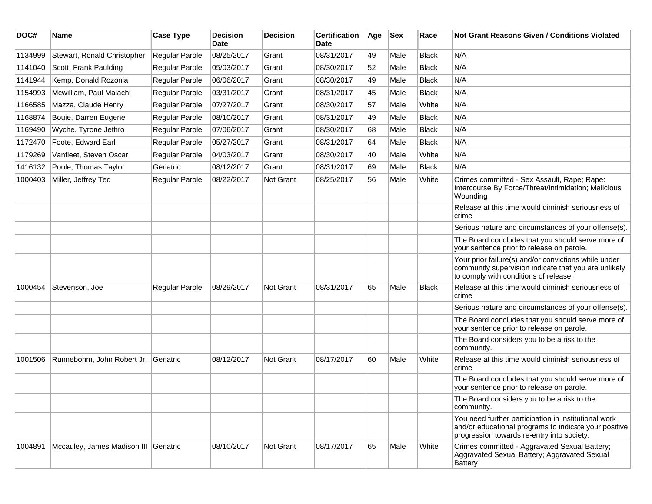| DOC#    | <b>Name</b>                           | <b>Case Type</b>      | <b>Decision</b><br><b>Date</b> | <b>Decision</b> | <b>Certification</b><br><b>Date</b> | Age | <b>Sex</b> | Race         | <b>Not Grant Reasons Given / Conditions Violated</b>                                                                                                        |
|---------|---------------------------------------|-----------------------|--------------------------------|-----------------|-------------------------------------|-----|------------|--------------|-------------------------------------------------------------------------------------------------------------------------------------------------------------|
| 1134999 | Stewart, Ronald Christopher           | Regular Parole        | 08/25/2017                     | Grant           | 08/31/2017                          | 49  | Male       | Black        | N/A                                                                                                                                                         |
| 1141040 | Scott, Frank Paulding                 | Regular Parole        | 05/03/2017                     | Grant           | 08/30/2017                          | 52  | Male       | Black        | N/A                                                                                                                                                         |
| 1141944 | Kemp, Donald Rozonia                  | Regular Parole        | 06/06/2017                     | Grant           | 08/30/2017                          | 49  | Male       | Black        | N/A                                                                                                                                                         |
| 1154993 | Mcwilliam, Paul Malachi               | Regular Parole        | 03/31/2017                     | Grant           | 08/31/2017                          | 45  | Male       | Black        | N/A                                                                                                                                                         |
| 1166585 | Mazza, Claude Henry                   | Regular Parole        | 07/27/2017                     | Grant           | 08/30/2017                          | 57  | Male       | White        | N/A                                                                                                                                                         |
| 1168874 | Bouie, Darren Eugene                  | <b>Regular Parole</b> | 08/10/2017                     | Grant           | 08/31/2017                          | 49  | Male       | <b>Black</b> | N/A                                                                                                                                                         |
| 1169490 | Wyche, Tyrone Jethro                  | Regular Parole        | 07/06/2017                     | Grant           | 08/30/2017                          | 68  | Male       | <b>Black</b> | N/A                                                                                                                                                         |
| 1172470 | Foote, Edward Earl                    | Regular Parole        | 05/27/2017                     | Grant           | 08/31/2017                          | 64  | Male       | Black        | N/A                                                                                                                                                         |
| 1179269 | Vanfleet, Steven Oscar                | Regular Parole        | 04/03/2017                     | Grant           | 08/30/2017                          | 40  | Male       | White        | N/A                                                                                                                                                         |
| 1416132 | Poole, Thomas Taylor                  | Geriatric             | 08/12/2017                     | Grant           | 08/31/2017                          | 69  | Male       | Black        | N/A                                                                                                                                                         |
| 1000403 | Miller, Jeffrey Ted                   | <b>Regular Parole</b> | 08/22/2017                     | Not Grant       | 08/25/2017                          | 56  | Male       | White        | Crimes committed - Sex Assault, Rape; Rape:<br>Intercourse By Force/Threat/Intimidation; Malicious<br>Wounding                                              |
|         |                                       |                       |                                |                 |                                     |     |            |              | Release at this time would diminish seriousness of<br>crime                                                                                                 |
|         |                                       |                       |                                |                 |                                     |     |            |              | Serious nature and circumstances of your offense(s).                                                                                                        |
|         |                                       |                       |                                |                 |                                     |     |            |              | The Board concludes that you should serve more of<br>your sentence prior to release on parole.                                                              |
|         |                                       |                       |                                |                 |                                     |     |            |              | Your prior failure(s) and/or convictions while under<br>community supervision indicate that you are unlikely<br>to comply with conditions of release.       |
| 1000454 | Stevenson, Joe                        | Regular Parole        | 08/29/2017                     | Not Grant       | 08/31/2017                          | 65  | Male       | Black        | Release at this time would diminish seriousness of<br>crime                                                                                                 |
|         |                                       |                       |                                |                 |                                     |     |            |              | Serious nature and circumstances of your offense(s).                                                                                                        |
|         |                                       |                       |                                |                 |                                     |     |            |              | The Board concludes that you should serve more of<br>your sentence prior to release on parole.                                                              |
|         |                                       |                       |                                |                 |                                     |     |            |              | The Board considers you to be a risk to the<br>community.                                                                                                   |
| 1001506 | Runnebohm, John Robert Jr.            | Geriatric             | 08/12/2017                     | Not Grant       | 08/17/2017                          | 60  | Male       | White        | Release at this time would diminish seriousness of<br>crime                                                                                                 |
|         |                                       |                       |                                |                 |                                     |     |            |              | The Board concludes that you should serve more of<br>your sentence prior to release on parole.                                                              |
|         |                                       |                       |                                |                 |                                     |     |            |              | The Board considers you to be a risk to the<br>community.                                                                                                   |
|         |                                       |                       |                                |                 |                                     |     |            |              | You need further participation in institutional work<br>and/or educational programs to indicate your positive<br>progression towards re-entry into society. |
| 1004891 | Mccauley, James Madison III Geriatric |                       | 08/10/2017                     | Not Grant       | 08/17/2017                          | 65  | Male       | White        | Crimes committed - Aggravated Sexual Battery;<br>Aggravated Sexual Battery; Aggravated Sexual<br><b>Battery</b>                                             |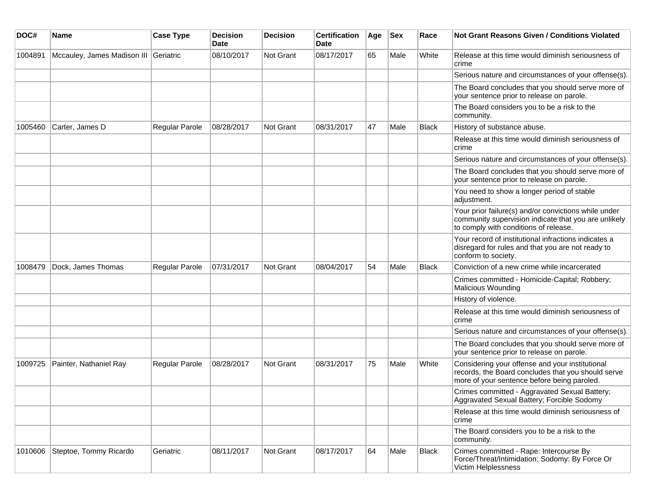| DOC#    | Name                                  | <b>Case Type</b>      | <b>Decision</b><br><b>Date</b> | <b>Decision</b>  | <b>Certification</b><br>Date | Age | <b>Sex</b> | Race  | Not Grant Reasons Given / Conditions Violated                                                                                                         |
|---------|---------------------------------------|-----------------------|--------------------------------|------------------|------------------------------|-----|------------|-------|-------------------------------------------------------------------------------------------------------------------------------------------------------|
| 1004891 | Mccauley, James Madison III Geriatric |                       | 08/10/2017                     | <b>Not Grant</b> | 08/17/2017                   | 65  | Male       | White | Release at this time would diminish seriousness of<br>crime                                                                                           |
|         |                                       |                       |                                |                  |                              |     |            |       | Serious nature and circumstances of your offense(s).                                                                                                  |
|         |                                       |                       |                                |                  |                              |     |            |       | The Board concludes that you should serve more of<br>your sentence prior to release on parole.                                                        |
|         |                                       |                       |                                |                  |                              |     |            |       | The Board considers you to be a risk to the<br>community.                                                                                             |
| 1005460 | Carter, James D                       | Regular Parole        | 08/28/2017                     | <b>Not Grant</b> | 08/31/2017                   | 47  | Male       | Black | History of substance abuse.                                                                                                                           |
|         |                                       |                       |                                |                  |                              |     |            |       | Release at this time would diminish seriousness of<br>crime                                                                                           |
|         |                                       |                       |                                |                  |                              |     |            |       | Serious nature and circumstances of your offense(s).                                                                                                  |
|         |                                       |                       |                                |                  |                              |     |            |       | The Board concludes that you should serve more of<br>your sentence prior to release on parole.                                                        |
|         |                                       |                       |                                |                  |                              |     |            |       | You need to show a longer period of stable<br>adjustment.                                                                                             |
|         |                                       |                       |                                |                  |                              |     |            |       | Your prior failure(s) and/or convictions while under<br>community supervision indicate that you are unlikely<br>to comply with conditions of release. |
|         |                                       |                       |                                |                  |                              |     |            |       | Your record of institutional infractions indicates a<br>disregard for rules and that you are not ready to<br>conform to society.                      |
| 1008479 | Dock, James Thomas                    | <b>Regular Parole</b> | 07/31/2017                     | Not Grant        | 08/04/2017                   | 54  | Male       | Black | Conviction of a new crime while incarcerated                                                                                                          |
|         |                                       |                       |                                |                  |                              |     |            |       | Crimes committed - Homicide-Capital; Robbery;<br>Malicious Wounding                                                                                   |
|         |                                       |                       |                                |                  |                              |     |            |       | History of violence.                                                                                                                                  |
|         |                                       |                       |                                |                  |                              |     |            |       | Release at this time would diminish seriousness of<br>crime                                                                                           |
|         |                                       |                       |                                |                  |                              |     |            |       | Serious nature and circumstances of your offense(s).                                                                                                  |
|         |                                       |                       |                                |                  |                              |     |            |       | The Board concludes that you should serve more of<br>your sentence prior to release on parole.                                                        |
| 1009725 | Painter, Nathaniel Ray                | <b>Regular Parole</b> | 08/28/2017                     | <b>Not Grant</b> | 08/31/2017                   | 75  | Male       | White | Considering your offense and your institutional<br>records, the Board concludes that you should serve<br>more of your sentence before being paroled.  |
|         |                                       |                       |                                |                  |                              |     |            |       | Crimes committed - Aggravated Sexual Battery;<br>Aggravated Sexual Battery; Forcible Sodomy                                                           |
|         |                                       |                       |                                |                  |                              |     |            |       | Release at this time would diminish seriousness of<br>crime                                                                                           |
|         |                                       |                       |                                |                  |                              |     |            |       | The Board considers you to be a risk to the<br>community.                                                                                             |
| 1010606 | Steptoe, Tommy Ricardo                | Geriatric             | 08/11/2017                     | Not Grant        | 08/17/2017                   | 64  | Male       | Black | Crimes committed - Rape: Intercourse By<br>Force/Threat/Intimidation; Sodomy: By Force Or<br>Victim Helplessness                                      |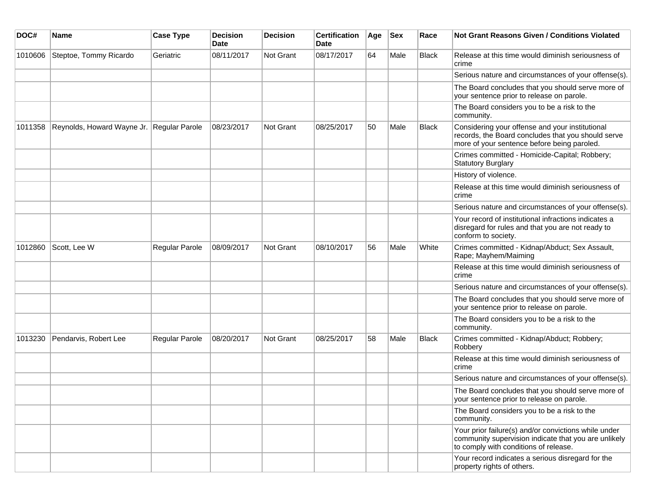| DOC#    | Name                       | <b>Case Type</b> | <b>Decision</b><br>Date | Decision  | <b>Certification</b><br><b>Date</b> | Age | <b>Sex</b> | Race         | <b>Not Grant Reasons Given / Conditions Violated</b>                                                                                                  |
|---------|----------------------------|------------------|-------------------------|-----------|-------------------------------------|-----|------------|--------------|-------------------------------------------------------------------------------------------------------------------------------------------------------|
| 1010606 | Steptoe, Tommy Ricardo     | Geriatric        | 08/11/2017              | Not Grant | 08/17/2017                          | 64  | Male       | <b>Black</b> | Release at this time would diminish seriousness of<br>crime                                                                                           |
|         |                            |                  |                         |           |                                     |     |            |              | Serious nature and circumstances of your offense(s).                                                                                                  |
|         |                            |                  |                         |           |                                     |     |            |              | The Board concludes that you should serve more of<br>your sentence prior to release on parole.                                                        |
|         |                            |                  |                         |           |                                     |     |            |              | The Board considers you to be a risk to the<br>community.                                                                                             |
| 1011358 | Reynolds, Howard Wayne Jr. | Regular Parole   | 08/23/2017              | Not Grant | 08/25/2017                          | 50  | Male       | <b>Black</b> | Considering your offense and your institutional<br>records, the Board concludes that you should serve<br>more of your sentence before being paroled.  |
|         |                            |                  |                         |           |                                     |     |            |              | Crimes committed - Homicide-Capital; Robbery;<br><b>Statutory Burglary</b>                                                                            |
|         |                            |                  |                         |           |                                     |     |            |              | History of violence.                                                                                                                                  |
|         |                            |                  |                         |           |                                     |     |            |              | Release at this time would diminish seriousness of<br>crime                                                                                           |
|         |                            |                  |                         |           |                                     |     |            |              | Serious nature and circumstances of your offense(s).                                                                                                  |
|         |                            |                  |                         |           |                                     |     |            |              | Your record of institutional infractions indicates a<br>disregard for rules and that you are not ready to<br>conform to society.                      |
| 1012860 | Scott, Lee W               | Regular Parole   | 08/09/2017              | Not Grant | 08/10/2017                          | 56  | Male       | White        | Crimes committed - Kidnap/Abduct; Sex Assault,<br>Rape; Mayhem/Maiming                                                                                |
|         |                            |                  |                         |           |                                     |     |            |              | Release at this time would diminish seriousness of<br>crime                                                                                           |
|         |                            |                  |                         |           |                                     |     |            |              | Serious nature and circumstances of your offense(s).                                                                                                  |
|         |                            |                  |                         |           |                                     |     |            |              | The Board concludes that you should serve more of<br>your sentence prior to release on parole.                                                        |
|         |                            |                  |                         |           |                                     |     |            |              | The Board considers you to be a risk to the<br>community.                                                                                             |
| 1013230 | Pendarvis, Robert Lee      | Regular Parole   | 08/20/2017              | Not Grant | 08/25/2017                          | 58  | Male       | Black        | Crimes committed - Kidnap/Abduct; Robbery;<br>Robbery                                                                                                 |
|         |                            |                  |                         |           |                                     |     |            |              | Release at this time would diminish seriousness of<br>crime                                                                                           |
|         |                            |                  |                         |           |                                     |     |            |              | Serious nature and circumstances of your offense(s).                                                                                                  |
|         |                            |                  |                         |           |                                     |     |            |              | The Board concludes that you should serve more of<br>your sentence prior to release on parole.                                                        |
|         |                            |                  |                         |           |                                     |     |            |              | The Board considers you to be a risk to the<br>community.                                                                                             |
|         |                            |                  |                         |           |                                     |     |            |              | Your prior failure(s) and/or convictions while under<br>community supervision indicate that you are unlikely<br>to comply with conditions of release. |
|         |                            |                  |                         |           |                                     |     |            |              | Your record indicates a serious disregard for the<br>property rights of others.                                                                       |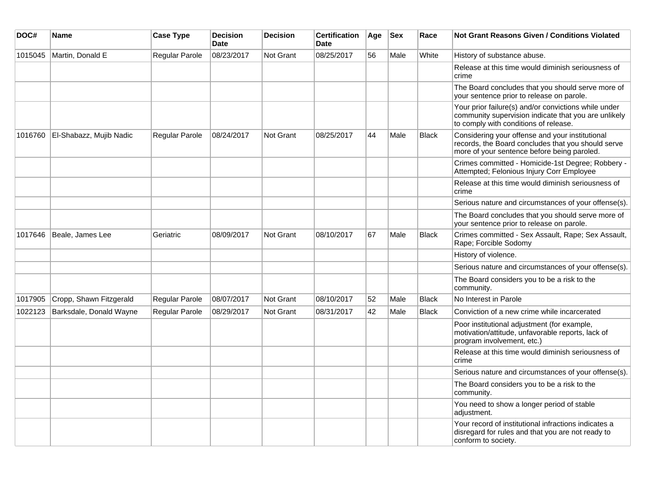| DOC#    | Name                    | <b>Case Type</b> | <b>Decision</b><br><b>Date</b> | <b>Decision</b>  | <b>Certification</b><br><b>Date</b> | Age | <b>Sex</b> | Race         | <b>Not Grant Reasons Given / Conditions Violated</b>                                                                                                  |
|---------|-------------------------|------------------|--------------------------------|------------------|-------------------------------------|-----|------------|--------------|-------------------------------------------------------------------------------------------------------------------------------------------------------|
| 1015045 | Martin, Donald E        | Regular Parole   | 08/23/2017                     | Not Grant        | 08/25/2017                          | 56  | Male       | White        | History of substance abuse.                                                                                                                           |
|         |                         |                  |                                |                  |                                     |     |            |              | Release at this time would diminish seriousness of<br>crime                                                                                           |
|         |                         |                  |                                |                  |                                     |     |            |              | The Board concludes that you should serve more of<br>your sentence prior to release on parole.                                                        |
|         |                         |                  |                                |                  |                                     |     |            |              | Your prior failure(s) and/or convictions while under<br>community supervision indicate that you are unlikely<br>to comply with conditions of release. |
| 1016760 | El-Shabazz, Mujib Nadic | Regular Parole   | 08/24/2017                     | Not Grant        | 08/25/2017                          | 44  | Male       | <b>Black</b> | Considering your offense and your institutional<br>records, the Board concludes that you should serve<br>more of your sentence before being paroled.  |
|         |                         |                  |                                |                  |                                     |     |            |              | Crimes committed - Homicide-1st Degree; Robbery -<br>Attempted; Felonious Injury Corr Employee                                                        |
|         |                         |                  |                                |                  |                                     |     |            |              | Release at this time would diminish seriousness of<br>crime                                                                                           |
|         |                         |                  |                                |                  |                                     |     |            |              | Serious nature and circumstances of your offense(s).                                                                                                  |
|         |                         |                  |                                |                  |                                     |     |            |              | The Board concludes that you should serve more of<br>your sentence prior to release on parole.                                                        |
| 1017646 | Beale, James Lee        | Geriatric        | 08/09/2017                     | Not Grant        | 08/10/2017                          | 67  | Male       | Black        | Crimes committed - Sex Assault, Rape; Sex Assault,<br>Rape; Forcible Sodomy                                                                           |
|         |                         |                  |                                |                  |                                     |     |            |              | History of violence.                                                                                                                                  |
|         |                         |                  |                                |                  |                                     |     |            |              | Serious nature and circumstances of your offense(s).                                                                                                  |
|         |                         |                  |                                |                  |                                     |     |            |              | The Board considers you to be a risk to the<br>community.                                                                                             |
| 1017905 | Cropp, Shawn Fitzgerald | Regular Parole   | 08/07/2017                     | Not Grant        | 08/10/2017                          | 52  | Male       | <b>Black</b> | No Interest in Parole                                                                                                                                 |
| 1022123 | Barksdale, Donald Wayne | Regular Parole   | 08/29/2017                     | <b>Not Grant</b> | 08/31/2017                          | 42  | Male       | <b>Black</b> | Conviction of a new crime while incarcerated                                                                                                          |
|         |                         |                  |                                |                  |                                     |     |            |              | Poor institutional adjustment (for example,<br>motivation/attitude, unfavorable reports, lack of<br>program involvement, etc.)                        |
|         |                         |                  |                                |                  |                                     |     |            |              | Release at this time would diminish seriousness of<br>crime                                                                                           |
|         |                         |                  |                                |                  |                                     |     |            |              | Serious nature and circumstances of your offense(s).                                                                                                  |
|         |                         |                  |                                |                  |                                     |     |            |              | The Board considers you to be a risk to the<br>community.                                                                                             |
|         |                         |                  |                                |                  |                                     |     |            |              | You need to show a longer period of stable<br>adjustment.                                                                                             |
|         |                         |                  |                                |                  |                                     |     |            |              | Your record of institutional infractions indicates a<br>disregard for rules and that you are not ready to<br>conform to society.                      |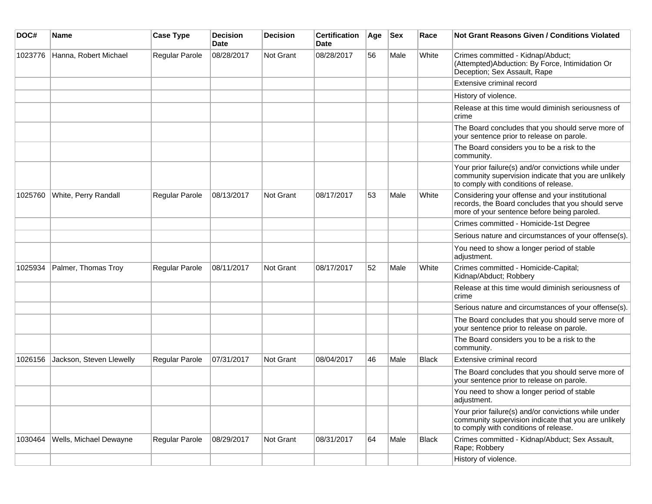| DOC#    | Name                     | <b>Case Type</b>      | <b>Decision</b><br><b>Date</b> | Decision  | <b>Certification</b><br><b>Date</b> | Age | <b>Sex</b> | Race         | <b>Not Grant Reasons Given / Conditions Violated</b>                                                                                                  |
|---------|--------------------------|-----------------------|--------------------------------|-----------|-------------------------------------|-----|------------|--------------|-------------------------------------------------------------------------------------------------------------------------------------------------------|
| 1023776 | Hanna, Robert Michael    | Regular Parole        | 08/28/2017                     | Not Grant | 08/28/2017                          | 56  | Male       | White        | Crimes committed - Kidnap/Abduct;<br>(Attempted) Abduction: By Force, Intimidation Or<br>Deception; Sex Assault, Rape                                 |
|         |                          |                       |                                |           |                                     |     |            |              | Extensive criminal record                                                                                                                             |
|         |                          |                       |                                |           |                                     |     |            |              | History of violence.                                                                                                                                  |
|         |                          |                       |                                |           |                                     |     |            |              | Release at this time would diminish seriousness of<br>crime                                                                                           |
|         |                          |                       |                                |           |                                     |     |            |              | The Board concludes that you should serve more of<br>your sentence prior to release on parole.                                                        |
|         |                          |                       |                                |           |                                     |     |            |              | The Board considers you to be a risk to the<br>community.                                                                                             |
|         |                          |                       |                                |           |                                     |     |            |              | Your prior failure(s) and/or convictions while under<br>community supervision indicate that you are unlikely<br>to comply with conditions of release. |
| 1025760 | White, Perry Randall     | Regular Parole        | 08/13/2017                     | Not Grant | 08/17/2017                          | 53  | Male       | White        | Considering your offense and your institutional<br>records, the Board concludes that you should serve<br>more of your sentence before being paroled.  |
|         |                          |                       |                                |           |                                     |     |            |              | Crimes committed - Homicide-1st Degree                                                                                                                |
|         |                          |                       |                                |           |                                     |     |            |              | Serious nature and circumstances of your offense(s).                                                                                                  |
|         |                          |                       |                                |           |                                     |     |            |              | You need to show a longer period of stable<br>adjustment.                                                                                             |
| 1025934 | Palmer, Thomas Troy      | <b>Regular Parole</b> | 08/11/2017                     | Not Grant | 08/17/2017                          | 52  | Male       | White        | Crimes committed - Homicide-Capital;<br>Kidnap/Abduct; Robbery                                                                                        |
|         |                          |                       |                                |           |                                     |     |            |              | Release at this time would diminish seriousness of<br>crime                                                                                           |
|         |                          |                       |                                |           |                                     |     |            |              | Serious nature and circumstances of your offense(s).                                                                                                  |
|         |                          |                       |                                |           |                                     |     |            |              | The Board concludes that you should serve more of<br>your sentence prior to release on parole.                                                        |
|         |                          |                       |                                |           |                                     |     |            |              | The Board considers you to be a risk to the<br>community.                                                                                             |
| 1026156 | Jackson, Steven Llewelly | Regular Parole        | 07/31/2017                     | Not Grant | 08/04/2017                          | 46  | Male       | Black        | Extensive criminal record                                                                                                                             |
|         |                          |                       |                                |           |                                     |     |            |              | The Board concludes that you should serve more of<br>your sentence prior to release on parole.                                                        |
|         |                          |                       |                                |           |                                     |     |            |              | You need to show a longer period of stable<br>adjustment.                                                                                             |
|         |                          |                       |                                |           |                                     |     |            |              | Your prior failure(s) and/or convictions while under<br>community supervision indicate that you are unlikely<br>to comply with conditions of release. |
| 1030464 | Wells, Michael Dewayne   | Regular Parole        | 08/29/2017                     | Not Grant | 08/31/2017                          | 64  | Male       | <b>Black</b> | Crimes committed - Kidnap/Abduct; Sex Assault,<br>Rape; Robbery                                                                                       |
|         |                          |                       |                                |           |                                     |     |            |              | History of violence.                                                                                                                                  |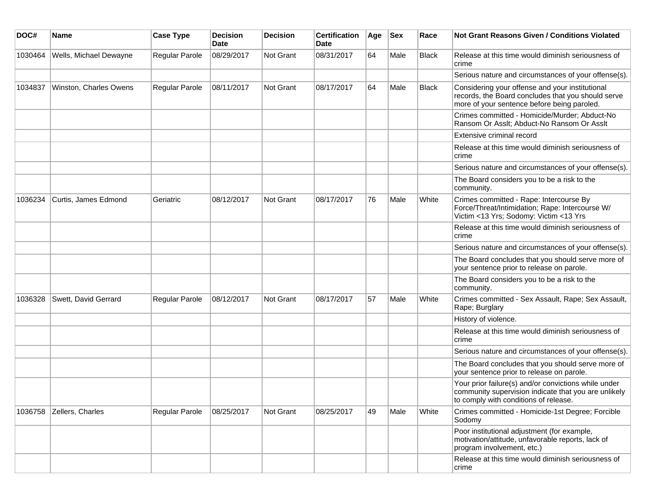| DOC#    | Name                   | <b>Case Type</b> | <b>Decision</b><br><b>Date</b> | <b>Decision</b> | <b>Certification</b><br>Date | Age | <b>Sex</b> | Race         | Not Grant Reasons Given / Conditions Violated                                                                                                         |
|---------|------------------------|------------------|--------------------------------|-----------------|------------------------------|-----|------------|--------------|-------------------------------------------------------------------------------------------------------------------------------------------------------|
| 1030464 | Wells, Michael Dewayne | Regular Parole   | 08/29/2017                     | Not Grant       | 08/31/2017                   | 64  | Male       | <b>Black</b> | Release at this time would diminish seriousness of<br>crime                                                                                           |
|         |                        |                  |                                |                 |                              |     |            |              | Serious nature and circumstances of your offense(s).                                                                                                  |
| 1034837 | Winston, Charles Owens | Regular Parole   | 08/11/2017                     | Not Grant       | 08/17/2017                   | 64  | Male       | <b>Black</b> | Considering your offense and your institutional<br>records, the Board concludes that you should serve<br>more of your sentence before being paroled.  |
|         |                        |                  |                                |                 |                              |     |            |              | Crimes committed - Homicide/Murder; Abduct-No<br>Ransom Or Asslt; Abduct-No Ransom Or Asslt                                                           |
|         |                        |                  |                                |                 |                              |     |            |              | Extensive criminal record                                                                                                                             |
|         |                        |                  |                                |                 |                              |     |            |              | Release at this time would diminish seriousness of<br>crime                                                                                           |
|         |                        |                  |                                |                 |                              |     |            |              | Serious nature and circumstances of your offense(s).                                                                                                  |
|         |                        |                  |                                |                 |                              |     |            |              | The Board considers you to be a risk to the<br>community.                                                                                             |
| 1036234 | Curtis, James Edmond   | Geriatric        | 08/12/2017                     | Not Grant       | 08/17/2017                   | 76  | Male       | White        | Crimes committed - Rape: Intercourse By<br>Force/Threat/Intimidation; Rape: Intercourse W/<br>Victim <13 Yrs; Sodomy: Victim <13 Yrs                  |
|         |                        |                  |                                |                 |                              |     |            |              | Release at this time would diminish seriousness of<br>crime                                                                                           |
|         |                        |                  |                                |                 |                              |     |            |              | Serious nature and circumstances of your offense(s).                                                                                                  |
|         |                        |                  |                                |                 |                              |     |            |              | The Board concludes that you should serve more of<br>your sentence prior to release on parole.                                                        |
|         |                        |                  |                                |                 |                              |     |            |              | The Board considers you to be a risk to the<br>community.                                                                                             |
| 1036328 | Swett, David Gerrard   | Regular Parole   | 08/12/2017                     | Not Grant       | 08/17/2017                   | 57  | Male       | White        | Crimes committed - Sex Assault, Rape; Sex Assault,<br>Rape; Burglary                                                                                  |
|         |                        |                  |                                |                 |                              |     |            |              | History of violence.                                                                                                                                  |
|         |                        |                  |                                |                 |                              |     |            |              | Release at this time would diminish seriousness of<br>crime                                                                                           |
|         |                        |                  |                                |                 |                              |     |            |              | Serious nature and circumstances of your offense(s).                                                                                                  |
|         |                        |                  |                                |                 |                              |     |            |              | The Board concludes that you should serve more of<br>your sentence prior to release on parole.                                                        |
|         |                        |                  |                                |                 |                              |     |            |              | Your prior failure(s) and/or convictions while under<br>community supervision indicate that you are unlikely<br>to comply with conditions of release. |
| 1036758 | Zellers, Charles       | Regular Parole   | 08/25/2017                     | Not Grant       | 08/25/2017                   | 49  | Male       | White        | Crimes committed - Homicide-1st Degree; Forcible<br>Sodomy                                                                                            |
|         |                        |                  |                                |                 |                              |     |            |              | Poor institutional adjustment (for example,<br>motivation/attitude, unfavorable reports, lack of<br>program involvement, etc.)                        |
|         |                        |                  |                                |                 |                              |     |            |              | Release at this time would diminish seriousness of<br>crime                                                                                           |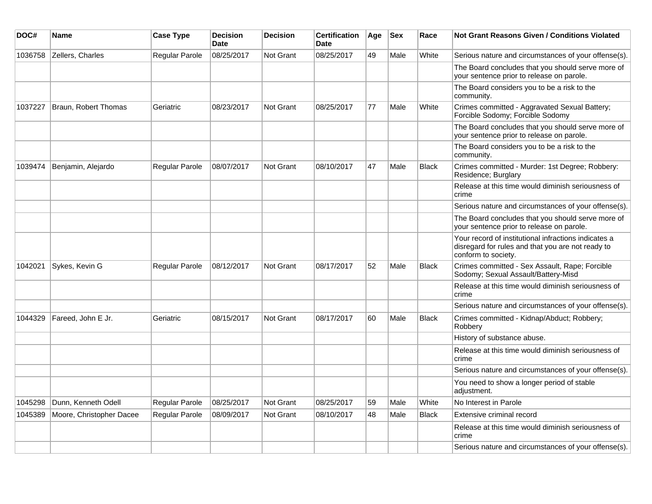| DOC#    | Name                     | <b>Case Type</b> | <b>Decision</b><br><b>Date</b> | <b>Decision</b>  | <b>Certification</b><br><b>Date</b> | Age | $ $ Sex | Race         | Not Grant Reasons Given / Conditions Violated                                                                                    |
|---------|--------------------------|------------------|--------------------------------|------------------|-------------------------------------|-----|---------|--------------|----------------------------------------------------------------------------------------------------------------------------------|
| 1036758 | Zellers, Charles         | Regular Parole   | 08/25/2017                     | <b>Not Grant</b> | 08/25/2017                          | 49  | Male    | White        | Serious nature and circumstances of your offense(s).                                                                             |
|         |                          |                  |                                |                  |                                     |     |         |              | The Board concludes that you should serve more of<br>your sentence prior to release on parole.                                   |
|         |                          |                  |                                |                  |                                     |     |         |              | The Board considers you to be a risk to the<br>community.                                                                        |
| 1037227 | Braun, Robert Thomas     | Geriatric        | 08/23/2017                     | <b>Not Grant</b> | 08/25/2017                          | 77  | Male    | White        | Crimes committed - Aggravated Sexual Battery;<br>Forcible Sodomy; Forcible Sodomy                                                |
|         |                          |                  |                                |                  |                                     |     |         |              | The Board concludes that you should serve more of<br>your sentence prior to release on parole.                                   |
|         |                          |                  |                                |                  |                                     |     |         |              | The Board considers you to be a risk to the<br>community.                                                                        |
| 1039474 | Benjamin, Alejardo       | Regular Parole   | 08/07/2017                     | <b>Not Grant</b> | 08/10/2017                          | 47  | Male    | <b>Black</b> | Crimes committed - Murder: 1st Degree; Robbery:<br>Residence; Burglary                                                           |
|         |                          |                  |                                |                  |                                     |     |         |              | Release at this time would diminish seriousness of<br>crime                                                                      |
|         |                          |                  |                                |                  |                                     |     |         |              | Serious nature and circumstances of your offense(s).                                                                             |
|         |                          |                  |                                |                  |                                     |     |         |              | The Board concludes that you should serve more of<br>your sentence prior to release on parole.                                   |
|         |                          |                  |                                |                  |                                     |     |         |              | Your record of institutional infractions indicates a<br>disregard for rules and that you are not ready to<br>conform to society. |
| 1042021 | Sykes, Kevin G           | Regular Parole   | 08/12/2017                     | Not Grant        | 08/17/2017                          | 52  | Male    | <b>Black</b> | Crimes committed - Sex Assault, Rape; Forcible<br>Sodomy; Sexual Assault/Battery-Misd                                            |
|         |                          |                  |                                |                  |                                     |     |         |              | Release at this time would diminish seriousness of<br>crime                                                                      |
|         |                          |                  |                                |                  |                                     |     |         |              | Serious nature and circumstances of your offense(s).                                                                             |
| 1044329 | Fareed, John E Jr.       | Geriatric        | 08/15/2017                     | <b>Not Grant</b> | 08/17/2017                          | 60  | Male    | <b>Black</b> | Crimes committed - Kidnap/Abduct; Robbery;<br>Robbery                                                                            |
|         |                          |                  |                                |                  |                                     |     |         |              | History of substance abuse.                                                                                                      |
|         |                          |                  |                                |                  |                                     |     |         |              | Release at this time would diminish seriousness of<br>crime                                                                      |
|         |                          |                  |                                |                  |                                     |     |         |              | Serious nature and circumstances of your offense(s).                                                                             |
|         |                          |                  |                                |                  |                                     |     |         |              | You need to show a longer period of stable<br>adjustment.                                                                        |
| 1045298 | Dunn, Kenneth Odell      | Regular Parole   | 08/25/2017                     | Not Grant        | 08/25/2017                          | 59  | Male    | White        | No Interest in Parole                                                                                                            |
| 1045389 | Moore, Christopher Dacee | Regular Parole   | 08/09/2017                     | <b>Not Grant</b> | 08/10/2017                          | 48  | Male    | <b>Black</b> | Extensive criminal record                                                                                                        |
|         |                          |                  |                                |                  |                                     |     |         |              | Release at this time would diminish seriousness of<br>crime                                                                      |
|         |                          |                  |                                |                  |                                     |     |         |              | Serious nature and circumstances of your offense(s).                                                                             |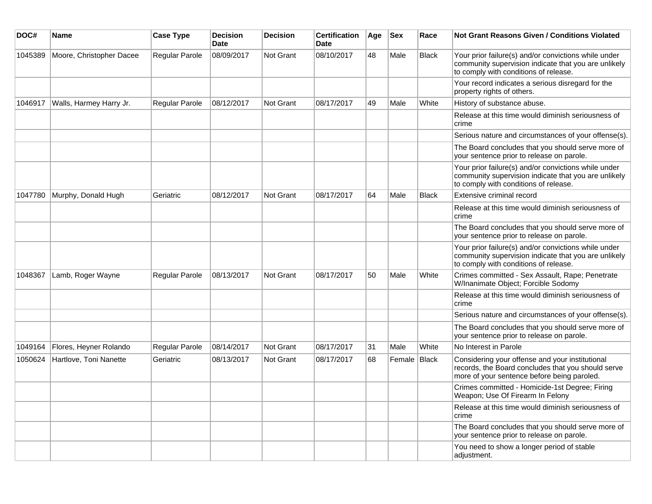| DOC#    | <b>Name</b>              | <b>Case Type</b>      | <b>Decision</b><br><b>Date</b> | Decision  | <b>Certification</b><br>Date | Age | <b>Sex</b>     | Race         | Not Grant Reasons Given / Conditions Violated                                                                                                         |
|---------|--------------------------|-----------------------|--------------------------------|-----------|------------------------------|-----|----------------|--------------|-------------------------------------------------------------------------------------------------------------------------------------------------------|
| 1045389 | Moore, Christopher Dacee | Regular Parole        | 08/09/2017                     | Not Grant | 08/10/2017                   | 48  | Male           | <b>Black</b> | Your prior failure(s) and/or convictions while under<br>community supervision indicate that you are unlikely<br>to comply with conditions of release. |
|         |                          |                       |                                |           |                              |     |                |              | Your record indicates a serious disregard for the<br>property rights of others.                                                                       |
| 1046917 | Walls, Harmey Harry Jr.  | Regular Parole        | 08/12/2017                     | Not Grant | 08/17/2017                   | 49  | Male           | White        | History of substance abuse.                                                                                                                           |
|         |                          |                       |                                |           |                              |     |                |              | Release at this time would diminish seriousness of<br>crime                                                                                           |
|         |                          |                       |                                |           |                              |     |                |              | Serious nature and circumstances of your offense(s).                                                                                                  |
|         |                          |                       |                                |           |                              |     |                |              | The Board concludes that you should serve more of<br>your sentence prior to release on parole.                                                        |
|         |                          |                       |                                |           |                              |     |                |              | Your prior failure(s) and/or convictions while under<br>community supervision indicate that you are unlikely<br>to comply with conditions of release. |
| 1047780 | Murphy, Donald Hugh      | Geriatric             | 08/12/2017                     | Not Grant | 08/17/2017                   | 64  | Male           | <b>Black</b> | Extensive criminal record                                                                                                                             |
|         |                          |                       |                                |           |                              |     |                |              | Release at this time would diminish seriousness of<br>crime                                                                                           |
|         |                          |                       |                                |           |                              |     |                |              | The Board concludes that you should serve more of<br>your sentence prior to release on parole.                                                        |
|         |                          |                       |                                |           |                              |     |                |              | Your prior failure(s) and/or convictions while under<br>community supervision indicate that you are unlikely<br>to comply with conditions of release. |
| 1048367 | Lamb, Roger Wayne        | Regular Parole        | 08/13/2017                     | Not Grant | 08/17/2017                   | 50  | Male           | White        | Crimes committed - Sex Assault, Rape; Penetrate<br>W/Inanimate Object; Forcible Sodomy                                                                |
|         |                          |                       |                                |           |                              |     |                |              | Release at this time would diminish seriousness of<br>crime                                                                                           |
|         |                          |                       |                                |           |                              |     |                |              | Serious nature and circumstances of your offense(s).                                                                                                  |
|         |                          |                       |                                |           |                              |     |                |              | The Board concludes that you should serve more of<br>your sentence prior to release on parole.                                                        |
| 1049164 | Flores, Heyner Rolando   | <b>Regular Parole</b> | 08/14/2017                     | Not Grant | 08/17/2017                   | 31  | Male           | White        | No Interest in Parole                                                                                                                                 |
| 1050624 | Hartlove, Toni Nanette   | Geriatric             | 08/13/2017                     | Not Grant | 08/17/2017                   | 68  | Female   Black |              | Considering your offense and your institutional<br>records, the Board concludes that you should serve<br>more of your sentence before being paroled.  |
|         |                          |                       |                                |           |                              |     |                |              | Crimes committed - Homicide-1st Degree; Firing<br>Weapon; Use Of Firearm In Felony                                                                    |
|         |                          |                       |                                |           |                              |     |                |              | Release at this time would diminish seriousness of<br>crime                                                                                           |
|         |                          |                       |                                |           |                              |     |                |              | The Board concludes that you should serve more of<br>your sentence prior to release on parole.                                                        |
|         |                          |                       |                                |           |                              |     |                |              | You need to show a longer period of stable<br>adjustment.                                                                                             |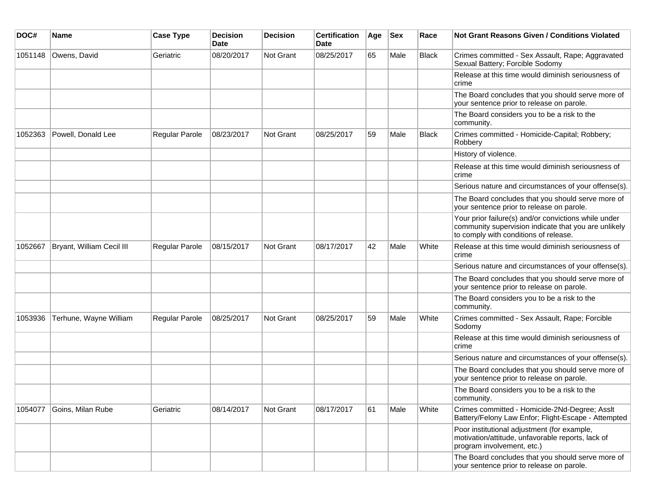| DOC#    | <b>Name</b>               | <b>Case Type</b>      | <b>Decision</b><br><b>Date</b> | <b>Decision</b> | <b>Certification</b><br>Date | Age | <b>Sex</b> | Race  | <b>Not Grant Reasons Given / Conditions Violated</b>                                                                                                  |
|---------|---------------------------|-----------------------|--------------------------------|-----------------|------------------------------|-----|------------|-------|-------------------------------------------------------------------------------------------------------------------------------------------------------|
| 1051148 | Owens, David              | Geriatric             | 08/20/2017                     | Not Grant       | 08/25/2017                   | 65  | Male       | Black | Crimes committed - Sex Assault, Rape; Aggravated<br>Sexual Battery; Forcible Sodomy                                                                   |
|         |                           |                       |                                |                 |                              |     |            |       | Release at this time would diminish seriousness of<br>crime                                                                                           |
|         |                           |                       |                                |                 |                              |     |            |       | The Board concludes that you should serve more of<br>your sentence prior to release on parole.                                                        |
|         |                           |                       |                                |                 |                              |     |            |       | The Board considers you to be a risk to the<br>community.                                                                                             |
| 1052363 | Powell, Donald Lee        | Regular Parole        | 08/23/2017                     | Not Grant       | 08/25/2017                   | 59  | Male       | Black | Crimes committed - Homicide-Capital; Robbery;<br>Robbery                                                                                              |
|         |                           |                       |                                |                 |                              |     |            |       | History of violence.                                                                                                                                  |
|         |                           |                       |                                |                 |                              |     |            |       | Release at this time would diminish seriousness of<br>crime                                                                                           |
|         |                           |                       |                                |                 |                              |     |            |       | Serious nature and circumstances of your offense(s).                                                                                                  |
|         |                           |                       |                                |                 |                              |     |            |       | The Board concludes that you should serve more of<br>your sentence prior to release on parole.                                                        |
|         |                           |                       |                                |                 |                              |     |            |       | Your prior failure(s) and/or convictions while under<br>community supervision indicate that you are unlikely<br>to comply with conditions of release. |
| 1052667 | Bryant, William Cecil III | Regular Parole        | 08/15/2017                     | Not Grant       | 08/17/2017                   | 42  | Male       | White | Release at this time would diminish seriousness of<br>crime                                                                                           |
|         |                           |                       |                                |                 |                              |     |            |       | Serious nature and circumstances of your offense(s).                                                                                                  |
|         |                           |                       |                                |                 |                              |     |            |       | The Board concludes that you should serve more of<br>your sentence prior to release on parole.                                                        |
|         |                           |                       |                                |                 |                              |     |            |       | The Board considers you to be a risk to the<br>community.                                                                                             |
| 1053936 | Terhune, Wayne William    | <b>Regular Parole</b> | 08/25/2017                     | Not Grant       | 08/25/2017                   | 59  | Male       | White | Crimes committed - Sex Assault, Rape; Forcible<br>Sodomy                                                                                              |
|         |                           |                       |                                |                 |                              |     |            |       | Release at this time would diminish seriousness of<br>crime                                                                                           |
|         |                           |                       |                                |                 |                              |     |            |       | Serious nature and circumstances of your offense(s).                                                                                                  |
|         |                           |                       |                                |                 |                              |     |            |       | The Board concludes that you should serve more of<br>your sentence prior to release on parole.                                                        |
|         |                           |                       |                                |                 |                              |     |            |       | The Board considers you to be a risk to the<br>community.                                                                                             |
| 1054077 | Goins, Milan Rube         | Geriatric             | 08/14/2017                     | Not Grant       | 08/17/2017                   | 61  | Male       | White | Crimes committed - Homicide-2Nd-Degree; Asslt<br>Battery/Felony Law Enfor; Flight-Escape - Attempted                                                  |
|         |                           |                       |                                |                 |                              |     |            |       | Poor institutional adjustment (for example,<br>motivation/attitude, unfavorable reports, lack of<br>program involvement, etc.)                        |
|         |                           |                       |                                |                 |                              |     |            |       | The Board concludes that you should serve more of<br>your sentence prior to release on parole.                                                        |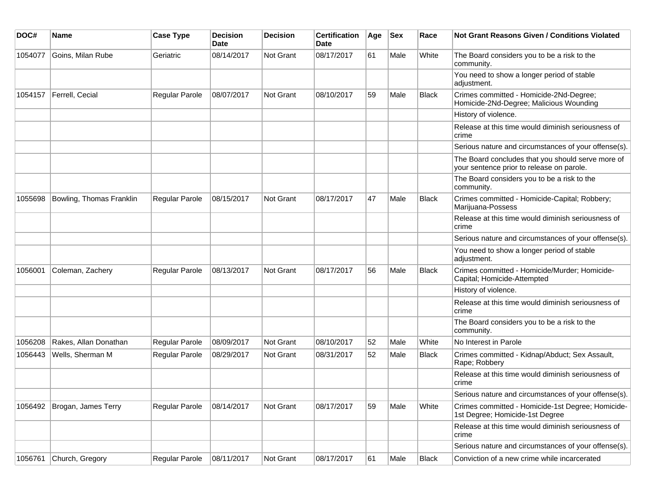| DOC#    | <b>Name</b>              | <b>Case Type</b>      | <b>Decision</b><br>Date | <b>Decision</b> | <b>Certification</b><br>Date | Age | <b>Sex</b> | Race         | Not Grant Reasons Given / Conditions Violated                                                  |
|---------|--------------------------|-----------------------|-------------------------|-----------------|------------------------------|-----|------------|--------------|------------------------------------------------------------------------------------------------|
| 1054077 | Goins, Milan Rube        | Geriatric             | 08/14/2017              | Not Grant       | 08/17/2017                   | 61  | Male       | White        | The Board considers you to be a risk to the<br>community.                                      |
|         |                          |                       |                         |                 |                              |     |            |              | You need to show a longer period of stable<br>adjustment.                                      |
| 1054157 | Ferrell, Cecial          | Regular Parole        | 08/07/2017              | Not Grant       | 08/10/2017                   | 59  | Male       | <b>Black</b> | Crimes committed - Homicide-2Nd-Degree;<br>Homicide-2Nd-Degree; Malicious Wounding             |
|         |                          |                       |                         |                 |                              |     |            |              | History of violence.                                                                           |
|         |                          |                       |                         |                 |                              |     |            |              | Release at this time would diminish seriousness of<br>crime                                    |
|         |                          |                       |                         |                 |                              |     |            |              | Serious nature and circumstances of your offense(s).                                           |
|         |                          |                       |                         |                 |                              |     |            |              | The Board concludes that you should serve more of<br>your sentence prior to release on parole. |
|         |                          |                       |                         |                 |                              |     |            |              | The Board considers you to be a risk to the<br>community.                                      |
| 1055698 | Bowling, Thomas Franklin | Regular Parole        | 08/15/2017              | Not Grant       | 08/17/2017                   | 47  | Male       | <b>Black</b> | Crimes committed - Homicide-Capital; Robbery;<br>Marijuana-Possess                             |
|         |                          |                       |                         |                 |                              |     |            |              | Release at this time would diminish seriousness of<br>crime                                    |
|         |                          |                       |                         |                 |                              |     |            |              | Serious nature and circumstances of your offense(s).                                           |
|         |                          |                       |                         |                 |                              |     |            |              | You need to show a longer period of stable<br>adjustment.                                      |
| 1056001 | Coleman, Zachery         | Regular Parole        | 08/13/2017              | Not Grant       | 08/17/2017                   | 56  | Male       | <b>Black</b> | Crimes committed - Homicide/Murder; Homicide-<br>Capital; Homicide-Attempted                   |
|         |                          |                       |                         |                 |                              |     |            |              | History of violence.                                                                           |
|         |                          |                       |                         |                 |                              |     |            |              | Release at this time would diminish seriousness of<br>crime                                    |
|         |                          |                       |                         |                 |                              |     |            |              | The Board considers you to be a risk to the<br>community.                                      |
| 1056208 | Rakes, Allan Donathan    | <b>Regular Parole</b> | 08/09/2017              | Not Grant       | 08/10/2017                   | 52  | Male       | White        | No Interest in Parole                                                                          |
| 1056443 | Wells, Sherman M         | Regular Parole        | 08/29/2017              | Not Grant       | 08/31/2017                   | 52  | Male       | <b>Black</b> | Crimes committed - Kidnap/Abduct; Sex Assault,<br>Rape; Robbery                                |
|         |                          |                       |                         |                 |                              |     |            |              | Release at this time would diminish seriousness of<br>crime                                    |
|         |                          |                       |                         |                 |                              |     |            |              | Serious nature and circumstances of your offense(s).                                           |
| 1056492 | Brogan, James Terry      | Regular Parole        | 08/14/2017              | Not Grant       | 08/17/2017                   | 59  | Male       | White        | Crimes committed - Homicide-1st Degree; Homicide-<br>1st Degree; Homicide-1st Degree           |
|         |                          |                       |                         |                 |                              |     |            |              | Release at this time would diminish seriousness of<br>crime                                    |
|         |                          |                       |                         |                 |                              |     |            |              | Serious nature and circumstances of your offense(s).                                           |
| 1056761 | Church, Gregory          | Regular Parole        | 08/11/2017              | Not Grant       | 08/17/2017                   | 61  | Male       | Black        | Conviction of a new crime while incarcerated                                                   |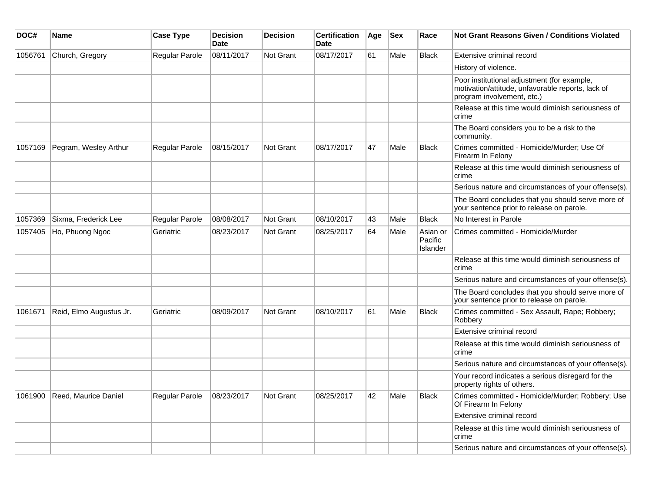| DOC#    | Name                    | <b>Case Type</b> | <b>Decision</b><br><b>Date</b> | <b>Decision</b>  | <b>Certification</b><br><b>Date</b> | Age | <b>Sex</b> | Race                            | Not Grant Reasons Given / Conditions Violated                                                                                  |
|---------|-------------------------|------------------|--------------------------------|------------------|-------------------------------------|-----|------------|---------------------------------|--------------------------------------------------------------------------------------------------------------------------------|
| 1056761 | Church, Gregory         | Regular Parole   | 08/11/2017                     | Not Grant        | 08/17/2017                          | 61  | Male       | <b>Black</b>                    | Extensive criminal record                                                                                                      |
|         |                         |                  |                                |                  |                                     |     |            |                                 | History of violence.                                                                                                           |
|         |                         |                  |                                |                  |                                     |     |            |                                 | Poor institutional adjustment (for example,<br>motivation/attitude, unfavorable reports, lack of<br>program involvement, etc.) |
|         |                         |                  |                                |                  |                                     |     |            |                                 | Release at this time would diminish seriousness of<br>crime                                                                    |
|         |                         |                  |                                |                  |                                     |     |            |                                 | The Board considers you to be a risk to the<br>community.                                                                      |
| 1057169 | Pegram, Wesley Arthur   | Regular Parole   | 08/15/2017                     | <b>Not Grant</b> | 08/17/2017                          | 47  | Male       | <b>Black</b>                    | Crimes committed - Homicide/Murder; Use Of<br>Firearm In Felony                                                                |
|         |                         |                  |                                |                  |                                     |     |            |                                 | Release at this time would diminish seriousness of<br>crime                                                                    |
|         |                         |                  |                                |                  |                                     |     |            |                                 | Serious nature and circumstances of your offense(s).                                                                           |
|         |                         |                  |                                |                  |                                     |     |            |                                 | The Board concludes that you should serve more of<br>your sentence prior to release on parole.                                 |
| 1057369 | Sixma, Frederick Lee    | Regular Parole   | 08/08/2017                     | Not Grant        | 08/10/2017                          | 43  | Male       | <b>Black</b>                    | No Interest in Parole                                                                                                          |
| 1057405 | Ho, Phuong Ngoc         | Geriatric        | 08/23/2017                     | Not Grant        | 08/25/2017                          | 64  | Male       | Asian or<br>Pacific<br>Islander | Crimes committed - Homicide/Murder                                                                                             |
|         |                         |                  |                                |                  |                                     |     |            |                                 | Release at this time would diminish seriousness of<br>crime                                                                    |
|         |                         |                  |                                |                  |                                     |     |            |                                 | Serious nature and circumstances of your offense(s).                                                                           |
|         |                         |                  |                                |                  |                                     |     |            |                                 | The Board concludes that you should serve more of<br>your sentence prior to release on parole.                                 |
| 1061671 | Reid, Elmo Augustus Jr. | Geriatric        | 08/09/2017                     | Not Grant        | 08/10/2017                          | 61  | Male       | <b>Black</b>                    | Crimes committed - Sex Assault, Rape; Robbery;<br>Robbery                                                                      |
|         |                         |                  |                                |                  |                                     |     |            |                                 | Extensive criminal record                                                                                                      |
|         |                         |                  |                                |                  |                                     |     |            |                                 | Release at this time would diminish seriousness of<br>crime                                                                    |
|         |                         |                  |                                |                  |                                     |     |            |                                 | Serious nature and circumstances of your offense(s).                                                                           |
|         |                         |                  |                                |                  |                                     |     |            |                                 | Your record indicates a serious disregard for the<br>property rights of others.                                                |
| 1061900 | Reed, Maurice Daniel    | Regular Parole   | 08/23/2017                     | <b>Not Grant</b> | 08/25/2017                          | 42  | Male       | <b>Black</b>                    | Crimes committed - Homicide/Murder; Robbery; Use<br>Of Firearm In Felony                                                       |
|         |                         |                  |                                |                  |                                     |     |            |                                 | Extensive criminal record                                                                                                      |
|         |                         |                  |                                |                  |                                     |     |            |                                 | Release at this time would diminish seriousness of<br>crime                                                                    |
|         |                         |                  |                                |                  |                                     |     |            |                                 | Serious nature and circumstances of your offense(s).                                                                           |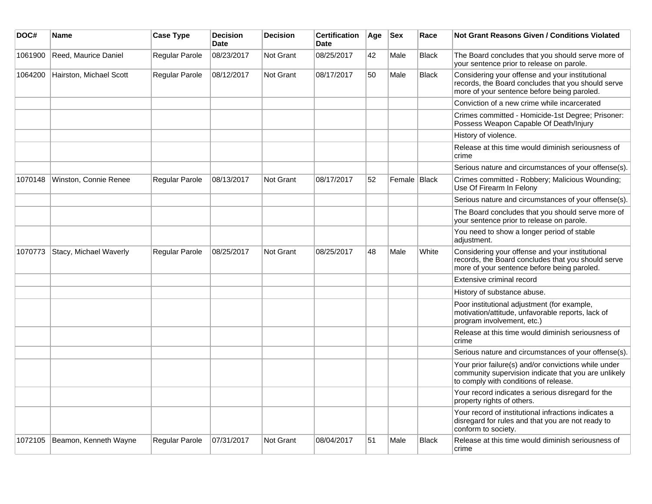| DOC#    | <b>Name</b>             | <b>Case Type</b> | <b>Decision</b><br><b>Date</b> | <b>Decision</b>  | <b>Certification</b><br>Date | Age | <b>Sex</b>     | Race         | Not Grant Reasons Given / Conditions Violated                                                                                                         |
|---------|-------------------------|------------------|--------------------------------|------------------|------------------------------|-----|----------------|--------------|-------------------------------------------------------------------------------------------------------------------------------------------------------|
| 1061900 | Reed, Maurice Daniel    | Regular Parole   | 08/23/2017                     | <b>Not Grant</b> | 08/25/2017                   | 42  | Male           | <b>Black</b> | The Board concludes that you should serve more of<br>your sentence prior to release on parole.                                                        |
| 1064200 | Hairston, Michael Scott | Regular Parole   | 08/12/2017                     | <b>Not Grant</b> | 08/17/2017                   | 50  | Male           | <b>Black</b> | Considering your offense and your institutional<br>records, the Board concludes that you should serve<br>more of your sentence before being paroled.  |
|         |                         |                  |                                |                  |                              |     |                |              | Conviction of a new crime while incarcerated                                                                                                          |
|         |                         |                  |                                |                  |                              |     |                |              | Crimes committed - Homicide-1st Degree; Prisoner:<br>Possess Weapon Capable Of Death/Injury                                                           |
|         |                         |                  |                                |                  |                              |     |                |              | History of violence.                                                                                                                                  |
|         |                         |                  |                                |                  |                              |     |                |              | Release at this time would diminish seriousness of<br>crime                                                                                           |
|         |                         |                  |                                |                  |                              |     |                |              | Serious nature and circumstances of your offense(s).                                                                                                  |
| 1070148 | Winston, Connie Renee   | Regular Parole   | 08/13/2017                     | <b>Not Grant</b> | 08/17/2017                   | 52  | Female   Black |              | Crimes committed - Robbery; Malicious Wounding;<br>Use Of Firearm In Felony                                                                           |
|         |                         |                  |                                |                  |                              |     |                |              | Serious nature and circumstances of your offense(s).                                                                                                  |
|         |                         |                  |                                |                  |                              |     |                |              | The Board concludes that you should serve more of<br>your sentence prior to release on parole.                                                        |
|         |                         |                  |                                |                  |                              |     |                |              | You need to show a longer period of stable<br>adjustment.                                                                                             |
| 1070773 | Stacy, Michael Waverly  | Regular Parole   | 08/25/2017                     | <b>Not Grant</b> | 08/25/2017                   | 48  | Male           | White        | Considering your offense and your institutional<br>records, the Board concludes that you should serve<br>more of your sentence before being paroled.  |
|         |                         |                  |                                |                  |                              |     |                |              | Extensive criminal record                                                                                                                             |
|         |                         |                  |                                |                  |                              |     |                |              | History of substance abuse.                                                                                                                           |
|         |                         |                  |                                |                  |                              |     |                |              | Poor institutional adjustment (for example,<br>motivation/attitude, unfavorable reports, lack of<br>program involvement, etc.)                        |
|         |                         |                  |                                |                  |                              |     |                |              | Release at this time would diminish seriousness of<br>crime                                                                                           |
|         |                         |                  |                                |                  |                              |     |                |              | Serious nature and circumstances of your offense(s).                                                                                                  |
|         |                         |                  |                                |                  |                              |     |                |              | Your prior failure(s) and/or convictions while under<br>community supervision indicate that you are unlikely<br>to comply with conditions of release. |
|         |                         |                  |                                |                  |                              |     |                |              | Your record indicates a serious disregard for the<br>property rights of others.                                                                       |
|         |                         |                  |                                |                  |                              |     |                |              | Your record of institutional infractions indicates a<br>disregard for rules and that you are not ready to<br>conform to society.                      |
| 1072105 | Beamon, Kenneth Wayne   | Regular Parole   | 07/31/2017                     | <b>Not Grant</b> | 08/04/2017                   | 51  | Male           | <b>Black</b> | Release at this time would diminish seriousness of<br>crime                                                                                           |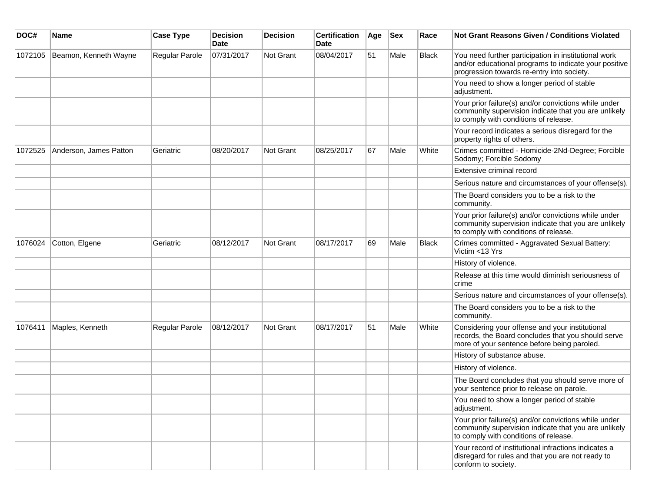| DOC#    | <b>Name</b>            | <b>Case Type</b> | <b>Decision</b><br><b>Date</b> | Decision  | <b>Certification</b><br>Date | Age | <b>Sex</b> | Race         | Not Grant Reasons Given / Conditions Violated                                                                                                               |
|---------|------------------------|------------------|--------------------------------|-----------|------------------------------|-----|------------|--------------|-------------------------------------------------------------------------------------------------------------------------------------------------------------|
| 1072105 | Beamon, Kenneth Wayne  | Regular Parole   | 07/31/2017                     | Not Grant | 08/04/2017                   | 51  | Male       | <b>Black</b> | You need further participation in institutional work<br>and/or educational programs to indicate your positive<br>progression towards re-entry into society. |
|         |                        |                  |                                |           |                              |     |            |              | You need to show a longer period of stable<br>adjustment.                                                                                                   |
|         |                        |                  |                                |           |                              |     |            |              | Your prior failure(s) and/or convictions while under<br>community supervision indicate that you are unlikely<br>to comply with conditions of release.       |
|         |                        |                  |                                |           |                              |     |            |              | Your record indicates a serious disregard for the<br>property rights of others.                                                                             |
| 1072525 | Anderson, James Patton | Geriatric        | 08/20/2017                     | Not Grant | 08/25/2017                   | 67  | Male       | White        | Crimes committed - Homicide-2Nd-Degree; Forcible<br>Sodomy; Forcible Sodomy                                                                                 |
|         |                        |                  |                                |           |                              |     |            |              | Extensive criminal record                                                                                                                                   |
|         |                        |                  |                                |           |                              |     |            |              | Serious nature and circumstances of your offense(s).                                                                                                        |
|         |                        |                  |                                |           |                              |     |            |              | The Board considers you to be a risk to the<br>community.                                                                                                   |
|         |                        |                  |                                |           |                              |     |            |              | Your prior failure(s) and/or convictions while under<br>community supervision indicate that you are unlikely<br>to comply with conditions of release.       |
| 1076024 | Cotton, Elgene         | Geriatric        | 08/12/2017                     | Not Grant | 08/17/2017                   | 69  | Male       | <b>Black</b> | Crimes committed - Aggravated Sexual Battery:<br>Victim <13 Yrs                                                                                             |
|         |                        |                  |                                |           |                              |     |            |              | History of violence.                                                                                                                                        |
|         |                        |                  |                                |           |                              |     |            |              | Release at this time would diminish seriousness of<br>crime                                                                                                 |
|         |                        |                  |                                |           |                              |     |            |              | Serious nature and circumstances of your offense(s).                                                                                                        |
|         |                        |                  |                                |           |                              |     |            |              | The Board considers you to be a risk to the<br>community.                                                                                                   |
| 1076411 | Maples, Kenneth        | Regular Parole   | 08/12/2017                     | Not Grant | 08/17/2017                   | 51  | Male       | White        | Considering your offense and your institutional<br>records, the Board concludes that you should serve<br>more of your sentence before being paroled.        |
|         |                        |                  |                                |           |                              |     |            |              | History of substance abuse.                                                                                                                                 |
|         |                        |                  |                                |           |                              |     |            |              | History of violence.                                                                                                                                        |
|         |                        |                  |                                |           |                              |     |            |              | The Board concludes that you should serve more of<br>your sentence prior to release on parole.                                                              |
|         |                        |                  |                                |           |                              |     |            |              | You need to show a longer period of stable<br>adjustment.                                                                                                   |
|         |                        |                  |                                |           |                              |     |            |              | Your prior failure(s) and/or convictions while under<br>community supervision indicate that you are unlikely<br>to comply with conditions of release.       |
|         |                        |                  |                                |           |                              |     |            |              | Your record of institutional infractions indicates a<br>disregard for rules and that you are not ready to<br>conform to society.                            |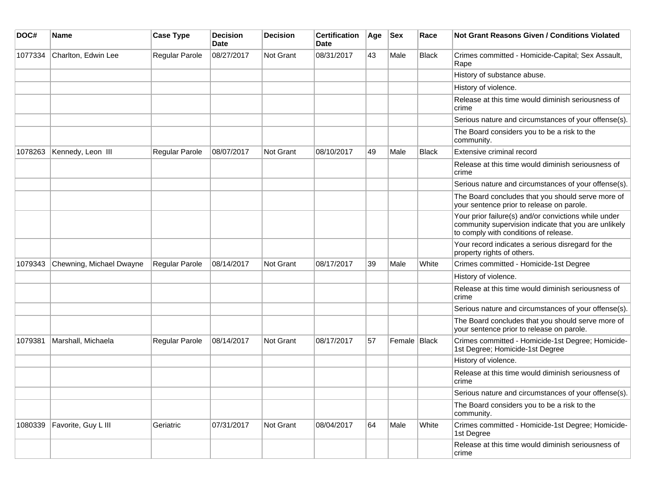| DOC#    | <b>Name</b>              | <b>Case Type</b>      | <b>Decision</b><br><b>Date</b> | <b>Decision</b>  | <b>Certification</b><br><b>Date</b> | Age | <b>Sex</b>   | Race         | <b>Not Grant Reasons Given / Conditions Violated</b>                                                                                                  |
|---------|--------------------------|-----------------------|--------------------------------|------------------|-------------------------------------|-----|--------------|--------------|-------------------------------------------------------------------------------------------------------------------------------------------------------|
| 1077334 | Charlton, Edwin Lee      | Regular Parole        | 08/27/2017                     | Not Grant        | 08/31/2017                          | 43  | Male         | <b>Black</b> | Crimes committed - Homicide-Capital; Sex Assault,<br>Rape                                                                                             |
|         |                          |                       |                                |                  |                                     |     |              |              | History of substance abuse.                                                                                                                           |
|         |                          |                       |                                |                  |                                     |     |              |              | History of violence.                                                                                                                                  |
|         |                          |                       |                                |                  |                                     |     |              |              | Release at this time would diminish seriousness of<br>crime                                                                                           |
|         |                          |                       |                                |                  |                                     |     |              |              | Serious nature and circumstances of your offense(s).                                                                                                  |
|         |                          |                       |                                |                  |                                     |     |              |              | The Board considers you to be a risk to the<br>community.                                                                                             |
| 1078263 | Kennedy, Leon III        | <b>Regular Parole</b> | 08/07/2017                     | Not Grant        | 08/10/2017                          | 49  | Male         | <b>Black</b> | Extensive criminal record                                                                                                                             |
|         |                          |                       |                                |                  |                                     |     |              |              | Release at this time would diminish seriousness of<br>crime                                                                                           |
|         |                          |                       |                                |                  |                                     |     |              |              | Serious nature and circumstances of your offense(s).                                                                                                  |
|         |                          |                       |                                |                  |                                     |     |              |              | The Board concludes that you should serve more of<br>your sentence prior to release on parole.                                                        |
|         |                          |                       |                                |                  |                                     |     |              |              | Your prior failure(s) and/or convictions while under<br>community supervision indicate that you are unlikely<br>to comply with conditions of release. |
|         |                          |                       |                                |                  |                                     |     |              |              | Your record indicates a serious disregard for the<br>property rights of others.                                                                       |
| 1079343 | Chewning, Michael Dwayne | Regular Parole        | 08/14/2017                     | Not Grant        | 08/17/2017                          | 39  | Male         | White        | Crimes committed - Homicide-1st Degree                                                                                                                |
|         |                          |                       |                                |                  |                                     |     |              |              | History of violence.                                                                                                                                  |
|         |                          |                       |                                |                  |                                     |     |              |              | Release at this time would diminish seriousness of<br>crime                                                                                           |
|         |                          |                       |                                |                  |                                     |     |              |              | Serious nature and circumstances of your offense(s).                                                                                                  |
|         |                          |                       |                                |                  |                                     |     |              |              | The Board concludes that you should serve more of<br>your sentence prior to release on parole.                                                        |
| 1079381 | Marshall, Michaela       | Regular Parole        | 08/14/2017                     | Not Grant        | 08/17/2017                          | 57  | Female Black |              | Crimes committed - Homicide-1st Degree; Homicide-<br>1st Degree; Homicide-1st Degree                                                                  |
|         |                          |                       |                                |                  |                                     |     |              |              | History of violence.                                                                                                                                  |
|         |                          |                       |                                |                  |                                     |     |              |              | Release at this time would diminish seriousness of<br>crime                                                                                           |
|         |                          |                       |                                |                  |                                     |     |              |              | Serious nature and circumstances of your offense(s).                                                                                                  |
|         |                          |                       |                                |                  |                                     |     |              |              | The Board considers you to be a risk to the<br>community.                                                                                             |
| 1080339 | Favorite, Guy L III      | Geriatric             | 07/31/2017                     | <b>Not Grant</b> | 08/04/2017                          | 64  | Male         | White        | Crimes committed - Homicide-1st Degree; Homicide-<br>1st Degree                                                                                       |
|         |                          |                       |                                |                  |                                     |     |              |              | Release at this time would diminish seriousness of<br>crime                                                                                           |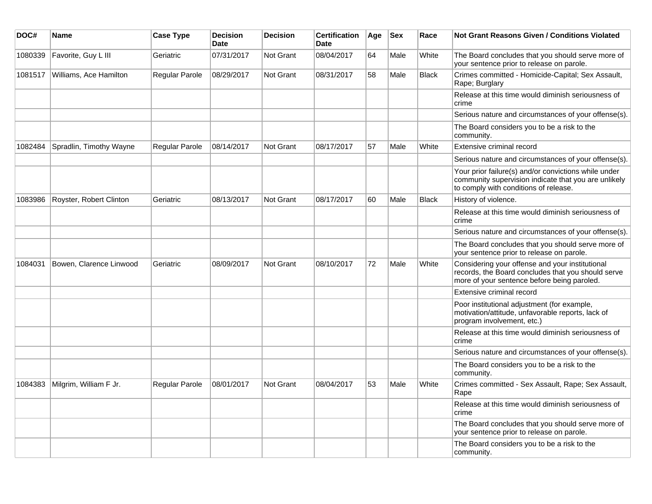| DOC#    | <b>Name</b>             | <b>Case Type</b> | <b>Decision</b><br><b>Date</b> | <b>Decision</b>  | <b>Certification</b><br><b>Date</b> | Age | <b>Sex</b> | Race         | <b>Not Grant Reasons Given / Conditions Violated</b>                                                                                                  |
|---------|-------------------------|------------------|--------------------------------|------------------|-------------------------------------|-----|------------|--------------|-------------------------------------------------------------------------------------------------------------------------------------------------------|
| 1080339 | Favorite, Guy L III     | Geriatric        | 07/31/2017                     | Not Grant        | 08/04/2017                          | 64  | Male       | White        | The Board concludes that you should serve more of<br>your sentence prior to release on parole.                                                        |
| 1081517 | Williams, Ace Hamilton  | Regular Parole   | 08/29/2017                     | <b>Not Grant</b> | 08/31/2017                          | 58  | Male       | <b>Black</b> | Crimes committed - Homicide-Capital; Sex Assault,<br>Rape; Burglary                                                                                   |
|         |                         |                  |                                |                  |                                     |     |            |              | Release at this time would diminish seriousness of<br>crime                                                                                           |
|         |                         |                  |                                |                  |                                     |     |            |              | Serious nature and circumstances of your offense(s).                                                                                                  |
|         |                         |                  |                                |                  |                                     |     |            |              | The Board considers you to be a risk to the<br>community.                                                                                             |
| 1082484 | Spradlin, Timothy Wayne | Regular Parole   | 08/14/2017                     | Not Grant        | 08/17/2017                          | 57  | Male       | White        | Extensive criminal record                                                                                                                             |
|         |                         |                  |                                |                  |                                     |     |            |              | Serious nature and circumstances of your offense(s).                                                                                                  |
|         |                         |                  |                                |                  |                                     |     |            |              | Your prior failure(s) and/or convictions while under<br>community supervision indicate that you are unlikely<br>to comply with conditions of release. |
| 1083986 | Royster, Robert Clinton | Geriatric        | 08/13/2017                     | Not Grant        | 08/17/2017                          | 60  | Male       | <b>Black</b> | History of violence.                                                                                                                                  |
|         |                         |                  |                                |                  |                                     |     |            |              | Release at this time would diminish seriousness of<br>crime                                                                                           |
|         |                         |                  |                                |                  |                                     |     |            |              | Serious nature and circumstances of your offense(s).                                                                                                  |
|         |                         |                  |                                |                  |                                     |     |            |              | The Board concludes that you should serve more of<br>your sentence prior to release on parole.                                                        |
| 1084031 | Bowen, Clarence Linwood | Geriatric        | 08/09/2017                     | <b>Not Grant</b> | 08/10/2017                          | 72  | Male       | White        | Considering your offense and your institutional<br>records, the Board concludes that you should serve<br>more of your sentence before being paroled.  |
|         |                         |                  |                                |                  |                                     |     |            |              | Extensive criminal record                                                                                                                             |
|         |                         |                  |                                |                  |                                     |     |            |              | Poor institutional adjustment (for example,<br>motivation/attitude, unfavorable reports, lack of<br>program involvement, etc.)                        |
|         |                         |                  |                                |                  |                                     |     |            |              | Release at this time would diminish seriousness of<br>crime                                                                                           |
|         |                         |                  |                                |                  |                                     |     |            |              | Serious nature and circumstances of your offense(s).                                                                                                  |
|         |                         |                  |                                |                  |                                     |     |            |              | The Board considers you to be a risk to the<br>community.                                                                                             |
| 1084383 | Milgrim, William F Jr.  | Regular Parole   | 08/01/2017                     | Not Grant        | 08/04/2017                          | 53  | Male       | White        | Crimes committed - Sex Assault, Rape; Sex Assault,<br>Rape                                                                                            |
|         |                         |                  |                                |                  |                                     |     |            |              | Release at this time would diminish seriousness of<br>crime                                                                                           |
|         |                         |                  |                                |                  |                                     |     |            |              | The Board concludes that you should serve more of<br>your sentence prior to release on parole.                                                        |
|         |                         |                  |                                |                  |                                     |     |            |              | The Board considers you to be a risk to the<br>community.                                                                                             |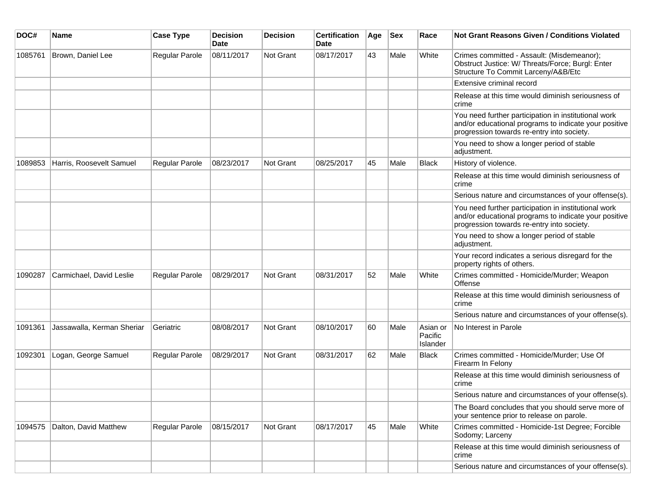| DOC#    | <b>Name</b>                | <b>Case Type</b>      | <b>Decision</b><br><b>Date</b> | <b>Decision</b>  | <b>Certification</b><br>Date | Age | <b>Sex</b> | Race                                   | <b>Not Grant Reasons Given / Conditions Violated</b>                                                                                                        |
|---------|----------------------------|-----------------------|--------------------------------|------------------|------------------------------|-----|------------|----------------------------------------|-------------------------------------------------------------------------------------------------------------------------------------------------------------|
| 1085761 | Brown, Daniel Lee          | Regular Parole        | 08/11/2017                     | <b>Not Grant</b> | 08/17/2017                   | 43  | Male       | White                                  | Crimes committed - Assault: (Misdemeanor);<br>Obstruct Justice: W/ Threats/Force; Burgl: Enter<br>Structure To Commit Larceny/A&B/Etc                       |
|         |                            |                       |                                |                  |                              |     |            |                                        | Extensive criminal record                                                                                                                                   |
|         |                            |                       |                                |                  |                              |     |            |                                        | Release at this time would diminish seriousness of<br>crime                                                                                                 |
|         |                            |                       |                                |                  |                              |     |            |                                        | You need further participation in institutional work<br>and/or educational programs to indicate your positive<br>progression towards re-entry into society. |
|         |                            |                       |                                |                  |                              |     |            |                                        | You need to show a longer period of stable<br>adjustment.                                                                                                   |
| 1089853 | Harris, Roosevelt Samuel   | Regular Parole        | 08/23/2017                     | Not Grant        | 08/25/2017                   | 45  | Male       | <b>Black</b>                           | History of violence.                                                                                                                                        |
|         |                            |                       |                                |                  |                              |     |            |                                        | Release at this time would diminish seriousness of<br>crime                                                                                                 |
|         |                            |                       |                                |                  |                              |     |            |                                        | Serious nature and circumstances of your offense(s).                                                                                                        |
|         |                            |                       |                                |                  |                              |     |            |                                        | You need further participation in institutional work<br>and/or educational programs to indicate your positive<br>progression towards re-entry into society. |
|         |                            |                       |                                |                  |                              |     |            |                                        | You need to show a longer period of stable<br>adjustment.                                                                                                   |
|         |                            |                       |                                |                  |                              |     |            |                                        | Your record indicates a serious disregard for the<br>property rights of others.                                                                             |
| 1090287 | Carmichael, David Leslie   | <b>Regular Parole</b> | 08/29/2017                     | Not Grant        | 08/31/2017                   | 52  | Male       | White                                  | Crimes committed - Homicide/Murder; Weapon<br>Offense                                                                                                       |
|         |                            |                       |                                |                  |                              |     |            |                                        | Release at this time would diminish seriousness of<br>crime                                                                                                 |
|         |                            |                       |                                |                  |                              |     |            |                                        | Serious nature and circumstances of your offense(s).                                                                                                        |
| 1091361 | Jassawalla, Kerman Sheriar | Geriatric             | 08/08/2017                     | Not Grant        | 08/10/2017                   | 60  | Male       | Asian or<br>Pacific<br><b>Islander</b> | No Interest in Parole                                                                                                                                       |
| 1092301 | Logan, George Samuel       | Regular Parole        | 08/29/2017                     | Not Grant        | 08/31/2017                   | 62  | Male       | <b>Black</b>                           | Crimes committed - Homicide/Murder; Use Of<br>Firearm In Felony                                                                                             |
|         |                            |                       |                                |                  |                              |     |            |                                        | Release at this time would diminish seriousness of<br>crime                                                                                                 |
|         |                            |                       |                                |                  |                              |     |            |                                        | Serious nature and circumstances of your offense(s).                                                                                                        |
|         |                            |                       |                                |                  |                              |     |            |                                        | The Board concludes that you should serve more of<br>your sentence prior to release on parole.                                                              |
| 1094575 | Dalton, David Matthew      | Regular Parole        | 08/15/2017                     | <b>Not Grant</b> | 08/17/2017                   | 45  | Male       | White                                  | Crimes committed - Homicide-1st Degree; Forcible<br>Sodomy; Larceny                                                                                         |
|         |                            |                       |                                |                  |                              |     |            |                                        | Release at this time would diminish seriousness of<br>crime                                                                                                 |
|         |                            |                       |                                |                  |                              |     |            |                                        | Serious nature and circumstances of your offense(s).                                                                                                        |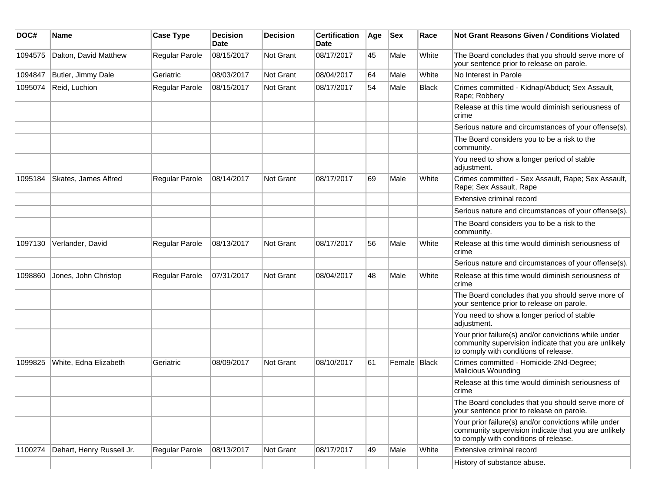| DOC#    | Name                      | <b>Case Type</b> | <b>Decision</b><br><b>Date</b> | <b>Decision</b> | <b>Certification</b><br>Date | Age | <b>Sex</b>   | Race         | Not Grant Reasons Given / Conditions Violated                                                                                                         |
|---------|---------------------------|------------------|--------------------------------|-----------------|------------------------------|-----|--------------|--------------|-------------------------------------------------------------------------------------------------------------------------------------------------------|
| 1094575 | Dalton, David Matthew     | Regular Parole   | 08/15/2017                     | Not Grant       | 08/17/2017                   | 45  | Male         | White        | The Board concludes that you should serve more of<br>your sentence prior to release on parole.                                                        |
| 1094847 | Butler, Jimmy Dale        | Geriatric        | 08/03/2017                     | Not Grant       | 08/04/2017                   | 64  | Male         | White        | No Interest in Parole                                                                                                                                 |
| 1095074 | Reid, Luchion             | Regular Parole   | 08/15/2017                     | Not Grant       | 08/17/2017                   | 54  | Male         | <b>Black</b> | Crimes committed - Kidnap/Abduct; Sex Assault,<br>Rape; Robbery                                                                                       |
|         |                           |                  |                                |                 |                              |     |              |              | Release at this time would diminish seriousness of<br>crime                                                                                           |
|         |                           |                  |                                |                 |                              |     |              |              | Serious nature and circumstances of your offense(s).                                                                                                  |
|         |                           |                  |                                |                 |                              |     |              |              | The Board considers you to be a risk to the<br>community.                                                                                             |
|         |                           |                  |                                |                 |                              |     |              |              | You need to show a longer period of stable<br>adjustment.                                                                                             |
| 1095184 | Skates, James Alfred      | Regular Parole   | 08/14/2017                     | Not Grant       | 08/17/2017                   | 69  | Male         | White        | Crimes committed - Sex Assault, Rape; Sex Assault,<br>Rape; Sex Assault, Rape                                                                         |
|         |                           |                  |                                |                 |                              |     |              |              | Extensive criminal record                                                                                                                             |
|         |                           |                  |                                |                 |                              |     |              |              | Serious nature and circumstances of your offense(s).                                                                                                  |
|         |                           |                  |                                |                 |                              |     |              |              | The Board considers you to be a risk to the<br>community.                                                                                             |
| 1097130 | Verlander, David          | Regular Parole   | 08/13/2017                     | Not Grant       | 08/17/2017                   | 56  | Male         | White        | Release at this time would diminish seriousness of<br>crime                                                                                           |
|         |                           |                  |                                |                 |                              |     |              |              | Serious nature and circumstances of your offense(s).                                                                                                  |
| 1098860 | Jones, John Christop      | Regular Parole   | 07/31/2017                     | Not Grant       | 08/04/2017                   | 48  | Male         | White        | Release at this time would diminish seriousness of<br>crime                                                                                           |
|         |                           |                  |                                |                 |                              |     |              |              | The Board concludes that you should serve more of<br>your sentence prior to release on parole.                                                        |
|         |                           |                  |                                |                 |                              |     |              |              | You need to show a longer period of stable<br>adjustment.                                                                                             |
|         |                           |                  |                                |                 |                              |     |              |              | Your prior failure(s) and/or convictions while under<br>community supervision indicate that you are unlikely<br>to comply with conditions of release. |
| 1099825 | White, Edna Elizabeth     | Geriatric        | 08/09/2017                     | Not Grant       | 08/10/2017                   | 61  | Female Black |              | Crimes committed - Homicide-2Nd-Degree;<br>Malicious Wounding                                                                                         |
|         |                           |                  |                                |                 |                              |     |              |              | Release at this time would diminish seriousness of<br>crime                                                                                           |
|         |                           |                  |                                |                 |                              |     |              |              | The Board concludes that you should serve more of<br>your sentence prior to release on parole.                                                        |
|         |                           |                  |                                |                 |                              |     |              |              | Your prior failure(s) and/or convictions while under<br>community supervision indicate that you are unlikely<br>to comply with conditions of release. |
| 1100274 | Dehart, Henry Russell Jr. | Regular Parole   | 08/13/2017                     | Not Grant       | 08/17/2017                   | 49  | Male         | White        | Extensive criminal record                                                                                                                             |
|         |                           |                  |                                |                 |                              |     |              |              | History of substance abuse.                                                                                                                           |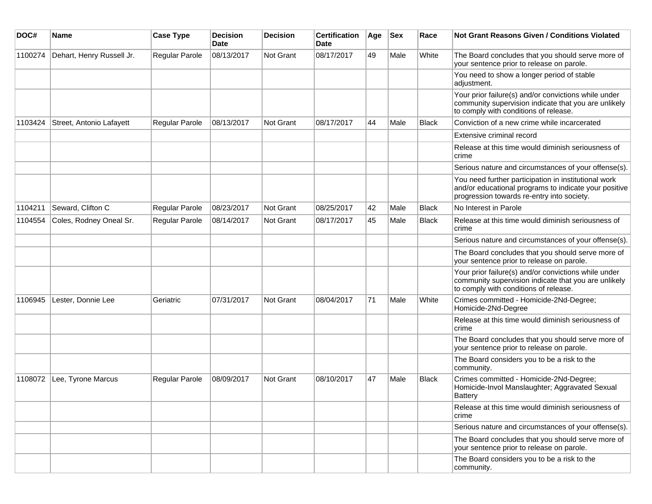| DOC#    | Name                      | <b>Case Type</b>      | <b>Decision</b><br><b>Date</b> | <b>Decision</b> | <b>Certification</b><br>Date | Age | <b>Sex</b> | Race         | Not Grant Reasons Given / Conditions Violated                                                                                                               |
|---------|---------------------------|-----------------------|--------------------------------|-----------------|------------------------------|-----|------------|--------------|-------------------------------------------------------------------------------------------------------------------------------------------------------------|
| 1100274 | Dehart, Henry Russell Jr. | Regular Parole        | 08/13/2017                     | Not Grant       | 08/17/2017                   | 49  | Male       | White        | The Board concludes that you should serve more of<br>your sentence prior to release on parole.                                                              |
|         |                           |                       |                                |                 |                              |     |            |              | You need to show a longer period of stable<br>adjustment.                                                                                                   |
|         |                           |                       |                                |                 |                              |     |            |              | Your prior failure(s) and/or convictions while under<br>community supervision indicate that you are unlikely<br>to comply with conditions of release.       |
| 1103424 | Street, Antonio Lafayett  | <b>Regular Parole</b> | 08/13/2017                     | Not Grant       | 08/17/2017                   | 44  | Male       | <b>Black</b> | Conviction of a new crime while incarcerated                                                                                                                |
|         |                           |                       |                                |                 |                              |     |            |              | Extensive criminal record                                                                                                                                   |
|         |                           |                       |                                |                 |                              |     |            |              | Release at this time would diminish seriousness of<br>crime                                                                                                 |
|         |                           |                       |                                |                 |                              |     |            |              | Serious nature and circumstances of your offense(s).                                                                                                        |
|         |                           |                       |                                |                 |                              |     |            |              | You need further participation in institutional work<br>and/or educational programs to indicate your positive<br>progression towards re-entry into society. |
| 1104211 | Seward, Clifton C         | Regular Parole        | 08/23/2017                     | Not Grant       | 08/25/2017                   | 42  | Male       | <b>Black</b> | No Interest in Parole                                                                                                                                       |
| 1104554 | Coles, Rodney Oneal Sr.   | Regular Parole        | 08/14/2017                     | Not Grant       | 08/17/2017                   | 45  | Male       | <b>Black</b> | Release at this time would diminish seriousness of<br>crime                                                                                                 |
|         |                           |                       |                                |                 |                              |     |            |              | Serious nature and circumstances of your offense(s).                                                                                                        |
|         |                           |                       |                                |                 |                              |     |            |              | The Board concludes that you should serve more of<br>your sentence prior to release on parole.                                                              |
|         |                           |                       |                                |                 |                              |     |            |              | Your prior failure(s) and/or convictions while under<br>community supervision indicate that you are unlikely<br>to comply with conditions of release.       |
| 1106945 | Lester, Donnie Lee        | Geriatric             | 07/31/2017                     | Not Grant       | 08/04/2017                   | 71  | Male       | White        | Crimes committed - Homicide-2Nd-Degree;<br>Homicide-2Nd-Degree                                                                                              |
|         |                           |                       |                                |                 |                              |     |            |              | Release at this time would diminish seriousness of<br>crime                                                                                                 |
|         |                           |                       |                                |                 |                              |     |            |              | The Board concludes that you should serve more of<br>your sentence prior to release on parole.                                                              |
|         |                           |                       |                                |                 |                              |     |            |              | The Board considers you to be a risk to the<br>community.                                                                                                   |
| 1108072 | Lee, Tyrone Marcus        | Regular Parole        | 08/09/2017                     | Not Grant       | 08/10/2017                   | 47  | Male       | <b>Black</b> | Crimes committed - Homicide-2Nd-Degree;<br>Homicide-Invol Manslaughter; Aggravated Sexual<br><b>Battery</b>                                                 |
|         |                           |                       |                                |                 |                              |     |            |              | Release at this time would diminish seriousness of<br>crime                                                                                                 |
|         |                           |                       |                                |                 |                              |     |            |              | Serious nature and circumstances of your offense(s).                                                                                                        |
|         |                           |                       |                                |                 |                              |     |            |              | The Board concludes that you should serve more of<br>your sentence prior to release on parole.                                                              |
|         |                           |                       |                                |                 |                              |     |            |              | The Board considers you to be a risk to the<br>community.                                                                                                   |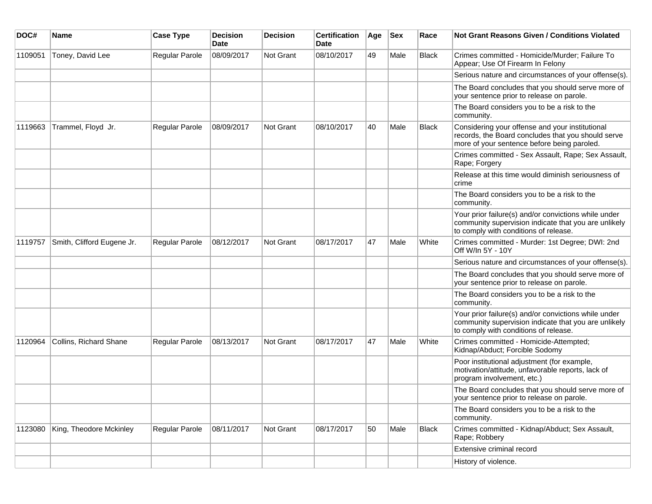| DOC#    | Name                       | <b>Case Type</b>      | <b>Decision</b><br>Date | <b>Decision</b> | <b>Certification</b><br>Date | Age | <b>Sex</b> | Race         | Not Grant Reasons Given / Conditions Violated                                                                                                         |
|---------|----------------------------|-----------------------|-------------------------|-----------------|------------------------------|-----|------------|--------------|-------------------------------------------------------------------------------------------------------------------------------------------------------|
| 1109051 | Toney, David Lee           | Regular Parole        | 08/09/2017              | Not Grant       | 08/10/2017                   | 49  | Male       | <b>Black</b> | Crimes committed - Homicide/Murder; Failure To<br>Appear; Use Of Firearm In Felony                                                                    |
|         |                            |                       |                         |                 |                              |     |            |              | Serious nature and circumstances of your offense(s).                                                                                                  |
|         |                            |                       |                         |                 |                              |     |            |              | The Board concludes that you should serve more of<br>your sentence prior to release on parole.                                                        |
|         |                            |                       |                         |                 |                              |     |            |              | The Board considers you to be a risk to the<br>community.                                                                                             |
| 1119663 | Trammel, Floyd Jr.         | Regular Parole        | 08/09/2017              | Not Grant       | 08/10/2017                   | 40  | Male       | <b>Black</b> | Considering your offense and your institutional<br>records, the Board concludes that you should serve<br>more of your sentence before being paroled.  |
|         |                            |                       |                         |                 |                              |     |            |              | Crimes committed - Sex Assault, Rape; Sex Assault,<br>Rape; Forgery                                                                                   |
|         |                            |                       |                         |                 |                              |     |            |              | Release at this time would diminish seriousness of<br>crime                                                                                           |
|         |                            |                       |                         |                 |                              |     |            |              | The Board considers you to be a risk to the<br>community.                                                                                             |
|         |                            |                       |                         |                 |                              |     |            |              | Your prior failure(s) and/or convictions while under<br>community supervision indicate that you are unlikely<br>to comply with conditions of release. |
| 1119757 | Smith, Clifford Eugene Jr. | <b>Regular Parole</b> | 08/12/2017              | Not Grant       | 08/17/2017                   | 47  | Male       | White        | Crimes committed - Murder: 1st Degree; DWI: 2nd<br>Off W/In 5Y - 10Y                                                                                  |
|         |                            |                       |                         |                 |                              |     |            |              | Serious nature and circumstances of your offense(s).                                                                                                  |
|         |                            |                       |                         |                 |                              |     |            |              | The Board concludes that you should serve more of<br>your sentence prior to release on parole.                                                        |
|         |                            |                       |                         |                 |                              |     |            |              | The Board considers you to be a risk to the<br>community.                                                                                             |
|         |                            |                       |                         |                 |                              |     |            |              | Your prior failure(s) and/or convictions while under<br>community supervision indicate that you are unlikely<br>to comply with conditions of release. |
| 1120964 | Collins, Richard Shane     | <b>Regular Parole</b> | 08/13/2017              | Not Grant       | 08/17/2017                   | 47  | Male       | White        | Crimes committed - Homicide-Attempted;<br>Kidnap/Abduct; Forcible Sodomy                                                                              |
|         |                            |                       |                         |                 |                              |     |            |              | Poor institutional adjustment (for example,<br>motivation/attitude, unfavorable reports, lack of<br>program involvement, etc.)                        |
|         |                            |                       |                         |                 |                              |     |            |              | The Board concludes that you should serve more of<br>your sentence prior to release on parole.                                                        |
|         |                            |                       |                         |                 |                              |     |            |              | The Board considers you to be a risk to the<br>community.                                                                                             |
| 1123080 | King, Theodore Mckinley    | Regular Parole        | 08/11/2017              | Not Grant       | 08/17/2017                   | 50  | Male       | Black        | Crimes committed - Kidnap/Abduct; Sex Assault,<br>Rape; Robbery                                                                                       |
|         |                            |                       |                         |                 |                              |     |            |              | Extensive criminal record                                                                                                                             |
|         |                            |                       |                         |                 |                              |     |            |              | History of violence.                                                                                                                                  |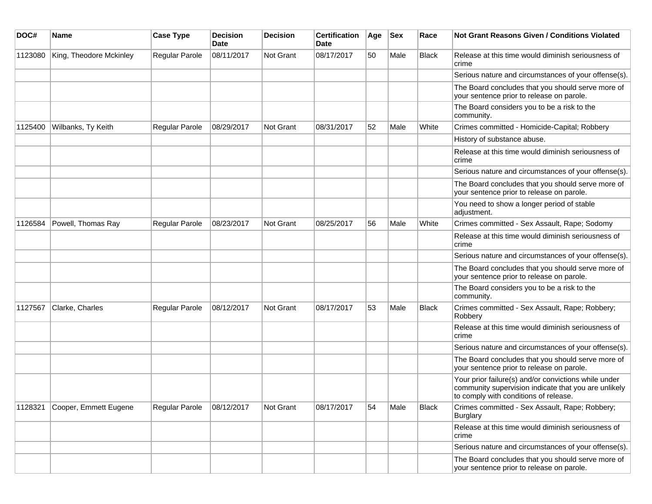| DOC#    | Name                    | <b>Case Type</b>      | <b>Decision</b><br>Date | <b>Decision</b>  | <b>Certification</b><br>Date | Age | <b>Sex</b> | Race         | <b>Not Grant Reasons Given / Conditions Violated</b>                                                                                                  |
|---------|-------------------------|-----------------------|-------------------------|------------------|------------------------------|-----|------------|--------------|-------------------------------------------------------------------------------------------------------------------------------------------------------|
| 1123080 | King, Theodore Mckinley | Regular Parole        | 08/11/2017              | Not Grant        | 08/17/2017                   | 50  | Male       | <b>Black</b> | Release at this time would diminish seriousness of<br>crime                                                                                           |
|         |                         |                       |                         |                  |                              |     |            |              | Serious nature and circumstances of your offense(s).                                                                                                  |
|         |                         |                       |                         |                  |                              |     |            |              | The Board concludes that you should serve more of<br>your sentence prior to release on parole.                                                        |
|         |                         |                       |                         |                  |                              |     |            |              | The Board considers you to be a risk to the<br>community.                                                                                             |
| 1125400 | Wilbanks, Ty Keith      | Regular Parole        | 08/29/2017              | <b>Not Grant</b> | 08/31/2017                   | 52  | Male       | White        | Crimes committed - Homicide-Capital; Robbery                                                                                                          |
|         |                         |                       |                         |                  |                              |     |            |              | History of substance abuse.                                                                                                                           |
|         |                         |                       |                         |                  |                              |     |            |              | Release at this time would diminish seriousness of<br>crime                                                                                           |
|         |                         |                       |                         |                  |                              |     |            |              | Serious nature and circumstances of your offense(s).                                                                                                  |
|         |                         |                       |                         |                  |                              |     |            |              | The Board concludes that you should serve more of<br>your sentence prior to release on parole.                                                        |
|         |                         |                       |                         |                  |                              |     |            |              | You need to show a longer period of stable<br>adjustment.                                                                                             |
| 1126584 | Powell, Thomas Ray      | <b>Regular Parole</b> | 08/23/2017              | <b>Not Grant</b> | 08/25/2017                   | 56  | Male       | White        | Crimes committed - Sex Assault, Rape; Sodomy                                                                                                          |
|         |                         |                       |                         |                  |                              |     |            |              | Release at this time would diminish seriousness of<br>crime                                                                                           |
|         |                         |                       |                         |                  |                              |     |            |              | Serious nature and circumstances of your offense(s).                                                                                                  |
|         |                         |                       |                         |                  |                              |     |            |              | The Board concludes that you should serve more of<br>your sentence prior to release on parole.                                                        |
|         |                         |                       |                         |                  |                              |     |            |              | The Board considers you to be a risk to the<br>community.                                                                                             |
| 1127567 | Clarke, Charles         | Regular Parole        | 08/12/2017              | <b>Not Grant</b> | 08/17/2017                   | 53  | Male       | <b>Black</b> | Crimes committed - Sex Assault, Rape; Robbery;<br>Robbery                                                                                             |
|         |                         |                       |                         |                  |                              |     |            |              | Release at this time would diminish seriousness of<br>crime                                                                                           |
|         |                         |                       |                         |                  |                              |     |            |              | Serious nature and circumstances of your offense(s).                                                                                                  |
|         |                         |                       |                         |                  |                              |     |            |              | The Board concludes that you should serve more of<br>your sentence prior to release on parole.                                                        |
|         |                         |                       |                         |                  |                              |     |            |              | Your prior failure(s) and/or convictions while under<br>community supervision indicate that you are unlikely<br>to comply with conditions of release. |
| 1128321 | Cooper, Emmett Eugene   | Regular Parole        | 08/12/2017              | Not Grant        | 08/17/2017                   | 54  | Male       | Black        | Crimes committed - Sex Assault, Rape; Robbery;<br>Burglary                                                                                            |
|         |                         |                       |                         |                  |                              |     |            |              | Release at this time would diminish seriousness of<br>crime                                                                                           |
|         |                         |                       |                         |                  |                              |     |            |              | Serious nature and circumstances of your offense(s).                                                                                                  |
|         |                         |                       |                         |                  |                              |     |            |              | The Board concludes that you should serve more of<br>your sentence prior to release on parole.                                                        |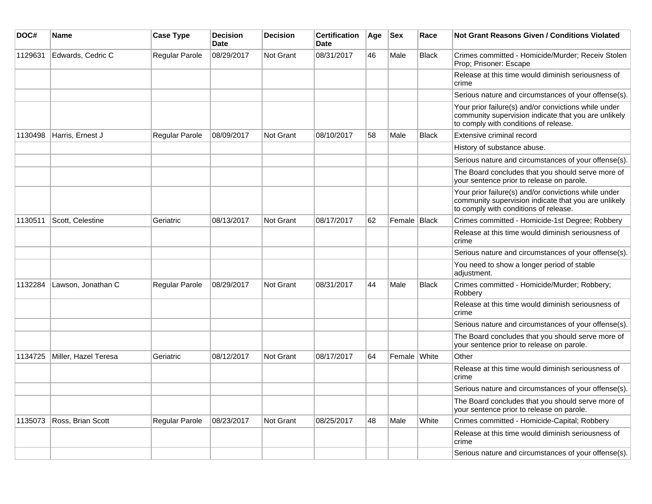| DOC#    | <b>Name</b>          | <b>Case Type</b> | <b>Decision</b><br><b>Date</b> | <b>Decision</b>  | <b>Certification</b><br><b>Date</b> | Age | <b>Sex</b>   | Race         | <b>Not Grant Reasons Given / Conditions Violated</b>                                                                                                  |
|---------|----------------------|------------------|--------------------------------|------------------|-------------------------------------|-----|--------------|--------------|-------------------------------------------------------------------------------------------------------------------------------------------------------|
| 1129631 | Edwards, Cedric C    | Regular Parole   | 08/29/2017                     | Not Grant        | 08/31/2017                          | 46  | Male         | <b>Black</b> | Crimes committed - Homicide/Murder; Receiv Stolen<br>Prop; Prisoner: Escape                                                                           |
|         |                      |                  |                                |                  |                                     |     |              |              | Release at this time would diminish seriousness of<br>crime                                                                                           |
|         |                      |                  |                                |                  |                                     |     |              |              | Serious nature and circumstances of your offense(s).                                                                                                  |
|         |                      |                  |                                |                  |                                     |     |              |              | Your prior failure(s) and/or convictions while under<br>community supervision indicate that you are unlikely<br>to comply with conditions of release. |
| 1130498 | Harris, Ernest J     | Regular Parole   | 08/09/2017                     | <b>Not Grant</b> | 08/10/2017                          | 58  | Male         | <b>Black</b> | Extensive criminal record                                                                                                                             |
|         |                      |                  |                                |                  |                                     |     |              |              | History of substance abuse.                                                                                                                           |
|         |                      |                  |                                |                  |                                     |     |              |              | Serious nature and circumstances of your offense(s).                                                                                                  |
|         |                      |                  |                                |                  |                                     |     |              |              | The Board concludes that you should serve more of<br>your sentence prior to release on parole.                                                        |
|         |                      |                  |                                |                  |                                     |     |              |              | Your prior failure(s) and/or convictions while under<br>community supervision indicate that you are unlikely<br>to comply with conditions of release. |
| 1130511 | Scott, Celestine     | Geriatric        | 08/13/2017                     | <b>Not Grant</b> | 08/17/2017                          | 62  | Female Black |              | Crimes committed - Homicide-1st Degree; Robbery                                                                                                       |
|         |                      |                  |                                |                  |                                     |     |              |              | Release at this time would diminish seriousness of<br>crime                                                                                           |
|         |                      |                  |                                |                  |                                     |     |              |              | Serious nature and circumstances of your offense(s).                                                                                                  |
|         |                      |                  |                                |                  |                                     |     |              |              | You need to show a longer period of stable<br>adjustment.                                                                                             |
| 1132284 | Lawson, Jonathan C   | Regular Parole   | 08/29/2017                     | <b>Not Grant</b> | 08/31/2017                          | 44  | Male         | <b>Black</b> | Crimes committed - Homicide/Murder; Robbery;<br>Robbery                                                                                               |
|         |                      |                  |                                |                  |                                     |     |              |              | Release at this time would diminish seriousness of<br>crime                                                                                           |
|         |                      |                  |                                |                  |                                     |     |              |              | Serious nature and circumstances of your offense(s).                                                                                                  |
|         |                      |                  |                                |                  |                                     |     |              |              | The Board concludes that you should serve more of<br>your sentence prior to release on parole.                                                        |
| 1134725 | Miller, Hazel Teresa | Geriatric        | 08/12/2017                     | <b>Not Grant</b> | 08/17/2017                          | 64  | Female White |              | Other                                                                                                                                                 |
|         |                      |                  |                                |                  |                                     |     |              |              | Release at this time would diminish seriousness of<br>crime                                                                                           |
|         |                      |                  |                                |                  |                                     |     |              |              | Serious nature and circumstances of your offense(s).                                                                                                  |
|         |                      |                  |                                |                  |                                     |     |              |              | The Board concludes that you should serve more of<br>your sentence prior to release on parole.                                                        |
| 1135073 | Ross, Brian Scott    | Regular Parole   | 08/23/2017                     | <b>Not Grant</b> | 08/25/2017                          | 48  | Male         | White        | Crimes committed - Homicide-Capital; Robbery                                                                                                          |
|         |                      |                  |                                |                  |                                     |     |              |              | Release at this time would diminish seriousness of<br>crime                                                                                           |
|         |                      |                  |                                |                  |                                     |     |              |              | Serious nature and circumstances of your offense(s).                                                                                                  |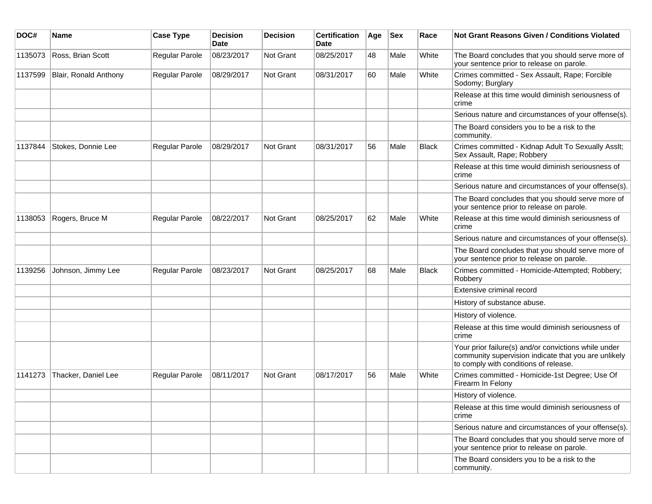| DOC#    | <b>Name</b>           | <b>Case Type</b> | <b>Decision</b><br>Date | <b>Decision</b>  | <b>Certification</b><br>Date | Age | <b>Sex</b> | Race         | Not Grant Reasons Given / Conditions Violated                                                                                                         |
|---------|-----------------------|------------------|-------------------------|------------------|------------------------------|-----|------------|--------------|-------------------------------------------------------------------------------------------------------------------------------------------------------|
| 1135073 | Ross, Brian Scott     | Regular Parole   | 08/23/2017              | Not Grant        | 08/25/2017                   | 48  | Male       | White        | The Board concludes that you should serve more of<br>your sentence prior to release on parole.                                                        |
| 1137599 | Blair, Ronald Anthony | Regular Parole   | 08/29/2017              | Not Grant        | 08/31/2017                   | 60  | Male       | White        | Crimes committed - Sex Assault, Rape; Forcible<br>Sodomy; Burglary                                                                                    |
|         |                       |                  |                         |                  |                              |     |            |              | Release at this time would diminish seriousness of<br>crime                                                                                           |
|         |                       |                  |                         |                  |                              |     |            |              | Serious nature and circumstances of your offense(s).                                                                                                  |
|         |                       |                  |                         |                  |                              |     |            |              | The Board considers you to be a risk to the<br>community.                                                                                             |
| 1137844 | Stokes, Donnie Lee    | Regular Parole   | 08/29/2017              | <b>Not Grant</b> | 08/31/2017                   | 56  | Male       | <b>Black</b> | Crimes committed - Kidnap Adult To Sexually Asslt;<br>Sex Assault, Rape; Robbery                                                                      |
|         |                       |                  |                         |                  |                              |     |            |              | Release at this time would diminish seriousness of<br>crime                                                                                           |
|         |                       |                  |                         |                  |                              |     |            |              | Serious nature and circumstances of your offense(s).                                                                                                  |
|         |                       |                  |                         |                  |                              |     |            |              | The Board concludes that you should serve more of<br>your sentence prior to release on parole.                                                        |
| 1138053 | Rogers, Bruce M       | Regular Parole   | 08/22/2017              | <b>Not Grant</b> | 08/25/2017                   | 62  | Male       | White        | Release at this time would diminish seriousness of<br>crime                                                                                           |
|         |                       |                  |                         |                  |                              |     |            |              | Serious nature and circumstances of your offense(s).                                                                                                  |
|         |                       |                  |                         |                  |                              |     |            |              | The Board concludes that you should serve more of<br>your sentence prior to release on parole.                                                        |
| 1139256 | Johnson, Jimmy Lee    | Regular Parole   | 08/23/2017              | <b>Not Grant</b> | 08/25/2017                   | 68  | Male       | Black        | Crimes committed - Homicide-Attempted; Robbery;<br>Robbery                                                                                            |
|         |                       |                  |                         |                  |                              |     |            |              | Extensive criminal record                                                                                                                             |
|         |                       |                  |                         |                  |                              |     |            |              | History of substance abuse.                                                                                                                           |
|         |                       |                  |                         |                  |                              |     |            |              | History of violence.                                                                                                                                  |
|         |                       |                  |                         |                  |                              |     |            |              | Release at this time would diminish seriousness of<br>crime                                                                                           |
|         |                       |                  |                         |                  |                              |     |            |              | Your prior failure(s) and/or convictions while under<br>community supervision indicate that you are unlikely<br>to comply with conditions of release. |
| 1141273 | Thacker, Daniel Lee   | Regular Parole   | 08/11/2017              | <b>Not Grant</b> | 08/17/2017                   | 56  | Male       | White        | Crimes committed - Homicide-1st Degree; Use Of<br>Firearm In Felony                                                                                   |
|         |                       |                  |                         |                  |                              |     |            |              | History of violence.                                                                                                                                  |
|         |                       |                  |                         |                  |                              |     |            |              | Release at this time would diminish seriousness of<br>crime                                                                                           |
|         |                       |                  |                         |                  |                              |     |            |              | Serious nature and circumstances of your offense(s).                                                                                                  |
|         |                       |                  |                         |                  |                              |     |            |              | The Board concludes that you should serve more of<br>your sentence prior to release on parole.                                                        |
|         |                       |                  |                         |                  |                              |     |            |              | The Board considers you to be a risk to the<br>community.                                                                                             |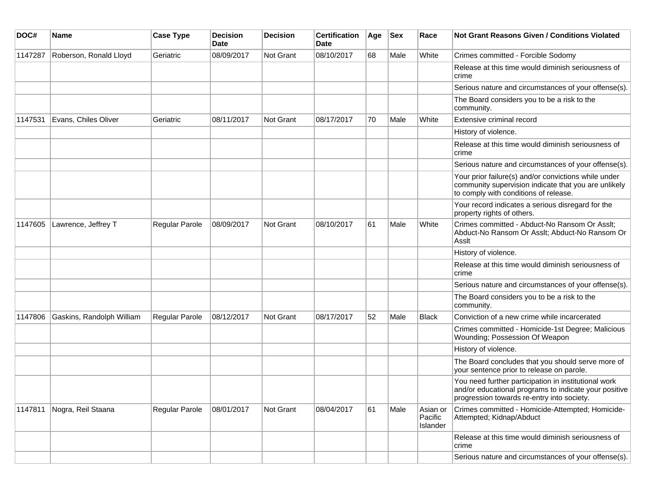| DOC#    | Name                      | <b>Case Type</b>      | <b>Decision</b><br>Date | <b>Decision</b>  | <b>Certification</b><br><b>Date</b> | Age | <b>Sex</b> | Race                            | <b>Not Grant Reasons Given / Conditions Violated</b>                                                                                                        |
|---------|---------------------------|-----------------------|-------------------------|------------------|-------------------------------------|-----|------------|---------------------------------|-------------------------------------------------------------------------------------------------------------------------------------------------------------|
| 1147287 | Roberson, Ronald Lloyd    | Geriatric             | 08/09/2017              | Not Grant        | 08/10/2017                          | 68  | Male       | White                           | Crimes committed - Forcible Sodomy                                                                                                                          |
|         |                           |                       |                         |                  |                                     |     |            |                                 | Release at this time would diminish seriousness of<br>crime                                                                                                 |
|         |                           |                       |                         |                  |                                     |     |            |                                 | Serious nature and circumstances of your offense(s).                                                                                                        |
|         |                           |                       |                         |                  |                                     |     |            |                                 | The Board considers you to be a risk to the<br>community.                                                                                                   |
| 1147531 | Evans, Chiles Oliver      | Geriatric             | 08/11/2017              | <b>Not Grant</b> | 08/17/2017                          | 70  | Male       | White                           | Extensive criminal record                                                                                                                                   |
|         |                           |                       |                         |                  |                                     |     |            |                                 | History of violence.                                                                                                                                        |
|         |                           |                       |                         |                  |                                     |     |            |                                 | Release at this time would diminish seriousness of<br>crime                                                                                                 |
|         |                           |                       |                         |                  |                                     |     |            |                                 | Serious nature and circumstances of your offense(s).                                                                                                        |
|         |                           |                       |                         |                  |                                     |     |            |                                 | Your prior failure(s) and/or convictions while under<br>community supervision indicate that you are unlikely<br>to comply with conditions of release.       |
|         |                           |                       |                         |                  |                                     |     |            |                                 | Your record indicates a serious disregard for the<br>property rights of others.                                                                             |
| 1147605 | Lawrence, Jeffrey T       | <b>Regular Parole</b> | 08/09/2017              | Not Grant        | 08/10/2017                          | 61  | Male       | White                           | Crimes committed - Abduct-No Ransom Or Asslt;<br>Abduct-No Ransom Or Asslt; Abduct-No Ransom Or<br>Asslt                                                    |
|         |                           |                       |                         |                  |                                     |     |            |                                 | History of violence.                                                                                                                                        |
|         |                           |                       |                         |                  |                                     |     |            |                                 | Release at this time would diminish seriousness of<br>crime                                                                                                 |
|         |                           |                       |                         |                  |                                     |     |            |                                 | Serious nature and circumstances of your offense(s).                                                                                                        |
|         |                           |                       |                         |                  |                                     |     |            |                                 | The Board considers you to be a risk to the<br>community.                                                                                                   |
| 1147806 | Gaskins, Randolph William | Regular Parole        | 08/12/2017              | Not Grant        | 08/17/2017                          | 52  | Male       | Black                           | Conviction of a new crime while incarcerated                                                                                                                |
|         |                           |                       |                         |                  |                                     |     |            |                                 | Crimes committed - Homicide-1st Degree; Malicious<br>Wounding; Possession Of Weapon                                                                         |
|         |                           |                       |                         |                  |                                     |     |            |                                 | History of violence.                                                                                                                                        |
|         |                           |                       |                         |                  |                                     |     |            |                                 | The Board concludes that you should serve more of<br>your sentence prior to release on parole.                                                              |
|         |                           |                       |                         |                  |                                     |     |            |                                 | You need further participation in institutional work<br>and/or educational programs to indicate your positive<br>progression towards re-entry into society. |
| 1147811 | Nogra, Reil Staana        | Regular Parole        | 08/01/2017              | Not Grant        | 08/04/2017                          | 61  | Male       | Asian or<br>Pacific<br>Islander | Crimes committed - Homicide-Attempted; Homicide-<br>Attempted; Kidnap/Abduct                                                                                |
|         |                           |                       |                         |                  |                                     |     |            |                                 | Release at this time would diminish seriousness of<br>crime                                                                                                 |
|         |                           |                       |                         |                  |                                     |     |            |                                 | Serious nature and circumstances of your offense(s).                                                                                                        |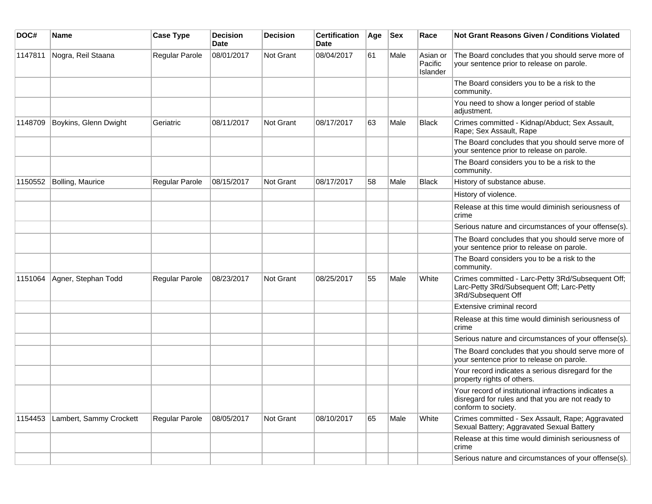| DOC#    | <b>Name</b>             | <b>Case Type</b> | <b>Decision</b><br><b>Date</b> | <b>Decision</b> | <b>Certification</b><br>Date | Age | <b>Sex</b> | Race                            | <b>Not Grant Reasons Given / Conditions Violated</b>                                                                             |
|---------|-------------------------|------------------|--------------------------------|-----------------|------------------------------|-----|------------|---------------------------------|----------------------------------------------------------------------------------------------------------------------------------|
| 1147811 | Nogra, Reil Staana      | Regular Parole   | 08/01/2017                     | Not Grant       | 08/04/2017                   | 61  | Male       | Asian or<br>Pacific<br>Islander | The Board concludes that you should serve more of<br>your sentence prior to release on parole.                                   |
|         |                         |                  |                                |                 |                              |     |            |                                 | The Board considers you to be a risk to the<br>community.                                                                        |
|         |                         |                  |                                |                 |                              |     |            |                                 | You need to show a longer period of stable<br>adjustment.                                                                        |
| 1148709 | Boykins, Glenn Dwight   | Geriatric        | 08/11/2017                     | Not Grant       | 08/17/2017                   | 63  | Male       | <b>Black</b>                    | Crimes committed - Kidnap/Abduct; Sex Assault,<br>Rape; Sex Assault, Rape                                                        |
|         |                         |                  |                                |                 |                              |     |            |                                 | The Board concludes that you should serve more of<br>your sentence prior to release on parole.                                   |
|         |                         |                  |                                |                 |                              |     |            |                                 | The Board considers you to be a risk to the<br>community.                                                                        |
| 1150552 | Bolling, Maurice        | Regular Parole   | 08/15/2017                     | Not Grant       | 08/17/2017                   | 58  | Male       | <b>Black</b>                    | History of substance abuse.                                                                                                      |
|         |                         |                  |                                |                 |                              |     |            |                                 | History of violence.                                                                                                             |
|         |                         |                  |                                |                 |                              |     |            |                                 | Release at this time would diminish seriousness of<br>crime                                                                      |
|         |                         |                  |                                |                 |                              |     |            |                                 | Serious nature and circumstances of your offense(s).                                                                             |
|         |                         |                  |                                |                 |                              |     |            |                                 | The Board concludes that you should serve more of<br>your sentence prior to release on parole.                                   |
|         |                         |                  |                                |                 |                              |     |            |                                 | The Board considers you to be a risk to the<br>community.                                                                        |
| 1151064 | Agner, Stephan Todd     | Regular Parole   | 08/23/2017                     | Not Grant       | 08/25/2017                   | 55  | Male       | White                           | Crimes committed - Larc-Petty 3Rd/Subsequent Off;<br>Larc-Petty 3Rd/Subsequent Off; Larc-Petty<br>3Rd/Subsequent Off             |
|         |                         |                  |                                |                 |                              |     |            |                                 | Extensive criminal record                                                                                                        |
|         |                         |                  |                                |                 |                              |     |            |                                 | Release at this time would diminish seriousness of<br>crime                                                                      |
|         |                         |                  |                                |                 |                              |     |            |                                 | Serious nature and circumstances of your offense(s).                                                                             |
|         |                         |                  |                                |                 |                              |     |            |                                 | The Board concludes that you should serve more of<br>your sentence prior to release on parole.                                   |
|         |                         |                  |                                |                 |                              |     |            |                                 | Your record indicates a serious disregard for the<br>property rights of others.                                                  |
|         |                         |                  |                                |                 |                              |     |            |                                 | Your record of institutional infractions indicates a<br>disregard for rules and that you are not ready to<br>conform to society. |
| 1154453 | Lambert, Sammy Crockett | Regular Parole   | 08/05/2017                     | Not Grant       | 08/10/2017                   | 65  | Male       | White                           | Crimes committed - Sex Assault, Rape; Aggravated<br>Sexual Battery; Aggravated Sexual Battery                                    |
|         |                         |                  |                                |                 |                              |     |            |                                 | Release at this time would diminish seriousness of<br>crime                                                                      |
|         |                         |                  |                                |                 |                              |     |            |                                 | Serious nature and circumstances of your offense(s).                                                                             |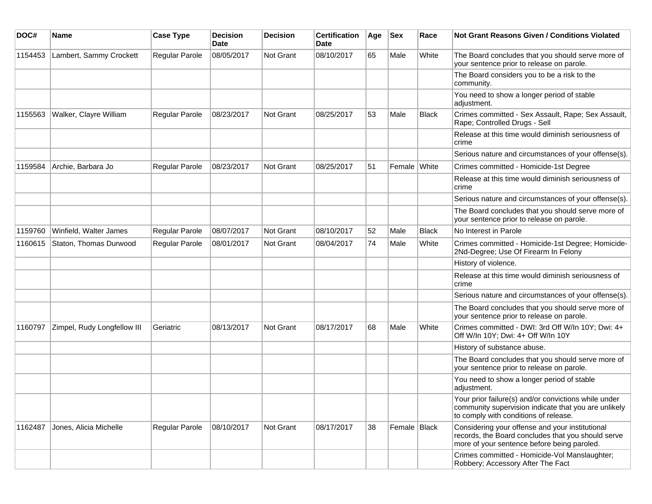| DOC#    | Name                        | <b>Case Type</b> | <b>Decision</b><br><b>Date</b> | <b>Decision</b> | <b>Certification</b><br><b>Date</b> | Age | <b>Sex</b>   | Race         | <b>Not Grant Reasons Given / Conditions Violated</b>                                                                                                  |
|---------|-----------------------------|------------------|--------------------------------|-----------------|-------------------------------------|-----|--------------|--------------|-------------------------------------------------------------------------------------------------------------------------------------------------------|
| 1154453 | Lambert, Sammy Crockett     | Regular Parole   | 08/05/2017                     | Not Grant       | 08/10/2017                          | 65  | Male         | White        | The Board concludes that you should serve more of<br>your sentence prior to release on parole.                                                        |
|         |                             |                  |                                |                 |                                     |     |              |              | The Board considers you to be a risk to the<br>community.                                                                                             |
|         |                             |                  |                                |                 |                                     |     |              |              | You need to show a longer period of stable<br>adjustment.                                                                                             |
| 1155563 | Walker, Clayre William      | Regular Parole   | 08/23/2017                     | Not Grant       | 08/25/2017                          | 53  | Male         | <b>Black</b> | Crimes committed - Sex Assault, Rape; Sex Assault,<br>Rape; Controlled Drugs - Sell                                                                   |
|         |                             |                  |                                |                 |                                     |     |              |              | Release at this time would diminish seriousness of<br>crime                                                                                           |
|         |                             |                  |                                |                 |                                     |     |              |              | Serious nature and circumstances of your offense(s).                                                                                                  |
| 1159584 | Archie, Barbara Jo          | Regular Parole   | 08/23/2017                     | Not Grant       | 08/25/2017                          | 51  | Female White |              | Crimes committed - Homicide-1st Degree                                                                                                                |
|         |                             |                  |                                |                 |                                     |     |              |              | Release at this time would diminish seriousness of<br>crime                                                                                           |
|         |                             |                  |                                |                 |                                     |     |              |              | Serious nature and circumstances of your offense(s).                                                                                                  |
|         |                             |                  |                                |                 |                                     |     |              |              | The Board concludes that you should serve more of<br>your sentence prior to release on parole.                                                        |
| 1159760 | Winfield, Walter James      | Regular Parole   | 08/07/2017                     | Not Grant       | 08/10/2017                          | 52  | Male         | <b>Black</b> | No Interest in Parole                                                                                                                                 |
| 1160615 | Staton, Thomas Durwood      | Regular Parole   | 08/01/2017                     | Not Grant       | 08/04/2017                          | 74  | Male         | White        | Crimes committed - Homicide-1st Degree; Homicide-<br>2Nd-Degree; Use Of Firearm In Felony                                                             |
|         |                             |                  |                                |                 |                                     |     |              |              | History of violence.                                                                                                                                  |
|         |                             |                  |                                |                 |                                     |     |              |              | Release at this time would diminish seriousness of<br>crime                                                                                           |
|         |                             |                  |                                |                 |                                     |     |              |              | Serious nature and circumstances of your offense(s).                                                                                                  |
|         |                             |                  |                                |                 |                                     |     |              |              | The Board concludes that you should serve more of<br>your sentence prior to release on parole.                                                        |
| 1160797 | Zimpel, Rudy Longfellow III | Geriatric        | 08/13/2017                     | Not Grant       | 08/17/2017                          | 68  | Male         | White        | Crimes committed - DWI: 3rd Off W/In 10Y; Dwi: 4+<br>Off W/In 10Y; Dwi: 4+ Off W/In 10Y                                                               |
|         |                             |                  |                                |                 |                                     |     |              |              | History of substance abuse.                                                                                                                           |
|         |                             |                  |                                |                 |                                     |     |              |              | The Board concludes that you should serve more of<br>your sentence prior to release on parole.                                                        |
|         |                             |                  |                                |                 |                                     |     |              |              | You need to show a longer period of stable<br>adjustment.                                                                                             |
|         |                             |                  |                                |                 |                                     |     |              |              | Your prior failure(s) and/or convictions while under<br>community supervision indicate that you are unlikely<br>to comply with conditions of release. |
| 1162487 | Jones, Alicia Michelle      | Regular Parole   | 08/10/2017                     | Not Grant       | 08/17/2017                          | 38  | Female Black |              | Considering your offense and your institutional<br>records, the Board concludes that you should serve<br>more of your sentence before being paroled.  |
|         |                             |                  |                                |                 |                                     |     |              |              | Crimes committed - Homicide-Vol Manslaughter;<br>Robbery; Accessory After The Fact                                                                    |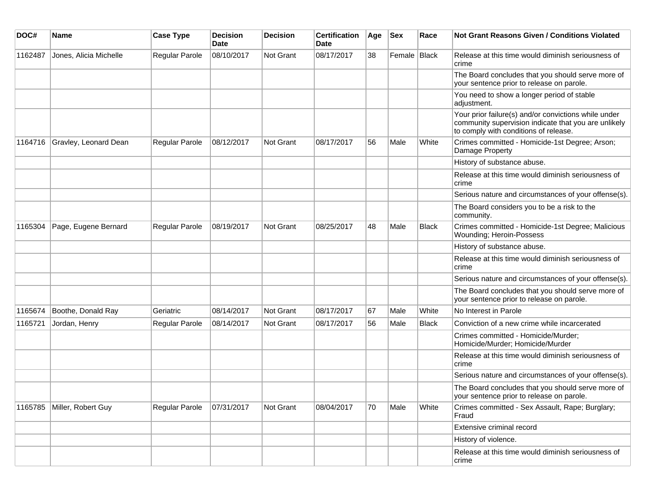| DOC#    | Name                         | <b>Case Type</b> | <b>Decision</b><br>Date | <b>Decision</b>  | <b>Certification</b><br>Date | Age | <b>Sex</b>   | Race         | <b>Not Grant Reasons Given / Conditions Violated</b>                                                                                                  |
|---------|------------------------------|------------------|-------------------------|------------------|------------------------------|-----|--------------|--------------|-------------------------------------------------------------------------------------------------------------------------------------------------------|
| 1162487 | Jones, Alicia Michelle       | Regular Parole   | 08/10/2017              | Not Grant        | 08/17/2017                   | 38  | Female Black |              | Release at this time would diminish seriousness of<br>crime                                                                                           |
|         |                              |                  |                         |                  |                              |     |              |              | The Board concludes that you should serve more of<br>your sentence prior to release on parole.                                                        |
|         |                              |                  |                         |                  |                              |     |              |              | You need to show a longer period of stable<br>adjustment.                                                                                             |
|         |                              |                  |                         |                  |                              |     |              |              | Your prior failure(s) and/or convictions while under<br>community supervision indicate that you are unlikely<br>to comply with conditions of release. |
| 1164716 | Gravley, Leonard Dean        | Regular Parole   | 08/12/2017              | <b>Not Grant</b> | 08/17/2017                   | 56  | Male         | White        | Crimes committed - Homicide-1st Degree; Arson;<br>Damage Property                                                                                     |
|         |                              |                  |                         |                  |                              |     |              |              | History of substance abuse.                                                                                                                           |
|         |                              |                  |                         |                  |                              |     |              |              | Release at this time would diminish seriousness of<br>crime                                                                                           |
|         |                              |                  |                         |                  |                              |     |              |              | Serious nature and circumstances of your offense(s).                                                                                                  |
|         |                              |                  |                         |                  |                              |     |              |              | The Board considers you to be a risk to the<br>community.                                                                                             |
| 1165304 | Page, Eugene Bernard         | Regular Parole   | 08/19/2017              | <b>Not Grant</b> | 08/25/2017                   | 48  | Male         | <b>Black</b> | Crimes committed - Homicide-1st Degree; Malicious<br>Wounding; Heroin-Possess                                                                         |
|         |                              |                  |                         |                  |                              |     |              |              | History of substance abuse.                                                                                                                           |
|         |                              |                  |                         |                  |                              |     |              |              | Release at this time would diminish seriousness of<br>crime                                                                                           |
|         |                              |                  |                         |                  |                              |     |              |              | Serious nature and circumstances of your offense(s).                                                                                                  |
|         |                              |                  |                         |                  |                              |     |              |              | The Board concludes that you should serve more of<br>your sentence prior to release on parole.                                                        |
| 1165674 | Boothe, Donald Ray           | Geriatric        | 08/14/2017              | Not Grant        | 08/17/2017                   | 67  | Male         | White        | No Interest in Parole                                                                                                                                 |
| 1165721 | Jordan, Henry                | Regular Parole   | 08/14/2017              | Not Grant        | 08/17/2017                   | 56  | Male         | <b>Black</b> | Conviction of a new crime while incarcerated                                                                                                          |
|         |                              |                  |                         |                  |                              |     |              |              | Crimes committed - Homicide/Murder;<br>Homicide/Murder; Homicide/Murder                                                                               |
|         |                              |                  |                         |                  |                              |     |              |              | Release at this time would diminish seriousness of<br>crime                                                                                           |
|         |                              |                  |                         |                  |                              |     |              |              | Serious nature and circumstances of your offense(s).                                                                                                  |
|         |                              |                  |                         |                  |                              |     |              |              | The Board concludes that you should serve more of<br>your sentence prior to release on parole.                                                        |
|         | 1165785   Miller, Robert Guy | Regular Parole   | 07/31/2017              | Not Grant        | 08/04/2017                   | 70  | Male         | White        | Crimes committed - Sex Assault, Rape; Burglary;<br>Fraud                                                                                              |
|         |                              |                  |                         |                  |                              |     |              |              | Extensive criminal record                                                                                                                             |
|         |                              |                  |                         |                  |                              |     |              |              | History of violence.                                                                                                                                  |
|         |                              |                  |                         |                  |                              |     |              |              | Release at this time would diminish seriousness of<br>crime                                                                                           |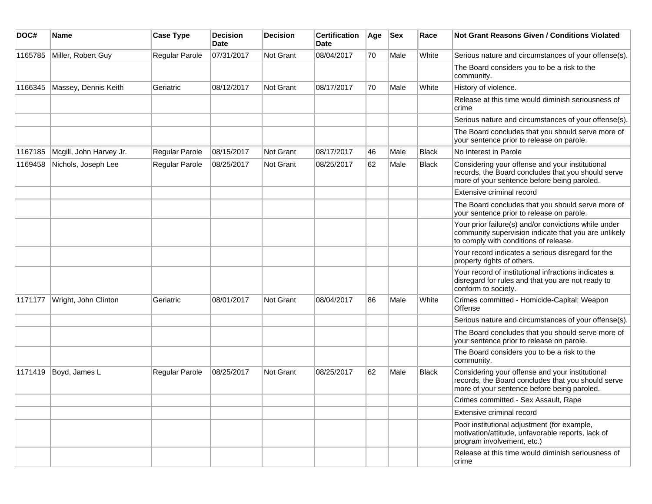| DOC#    | <b>Name</b>             | <b>Case Type</b> | <b>Decision</b><br><b>Date</b> | <b>Decision</b>  | <b>Certification</b><br>Date | Age | <b>Sex</b> | Race         | <b>Not Grant Reasons Given / Conditions Violated</b>                                                                                                  |
|---------|-------------------------|------------------|--------------------------------|------------------|------------------------------|-----|------------|--------------|-------------------------------------------------------------------------------------------------------------------------------------------------------|
| 1165785 | Miller, Robert Guy      | Regular Parole   | 07/31/2017                     | Not Grant        | 08/04/2017                   | 70  | Male       | White        | Serious nature and circumstances of your offense(s).                                                                                                  |
|         |                         |                  |                                |                  |                              |     |            |              | The Board considers you to be a risk to the<br>community.                                                                                             |
| 1166345 | Massey, Dennis Keith    | Geriatric        | 08/12/2017                     | Not Grant        | 08/17/2017                   | 70  | Male       | White        | History of violence.                                                                                                                                  |
|         |                         |                  |                                |                  |                              |     |            |              | Release at this time would diminish seriousness of<br>crime                                                                                           |
|         |                         |                  |                                |                  |                              |     |            |              | Serious nature and circumstances of your offense(s).                                                                                                  |
|         |                         |                  |                                |                  |                              |     |            |              | The Board concludes that you should serve more of<br>your sentence prior to release on parole.                                                        |
| 1167185 | Mcgill, John Harvey Jr. | Regular Parole   | 08/15/2017                     | Not Grant        | 08/17/2017                   | 46  | Male       | <b>Black</b> | No Interest in Parole                                                                                                                                 |
| 1169458 | Nichols, Joseph Lee     | Regular Parole   | 08/25/2017                     | <b>Not Grant</b> | 08/25/2017                   | 62  | Male       | <b>Black</b> | Considering your offense and your institutional<br>records, the Board concludes that you should serve<br>more of your sentence before being paroled.  |
|         |                         |                  |                                |                  |                              |     |            |              | Extensive criminal record                                                                                                                             |
|         |                         |                  |                                |                  |                              |     |            |              | The Board concludes that you should serve more of<br>your sentence prior to release on parole.                                                        |
|         |                         |                  |                                |                  |                              |     |            |              | Your prior failure(s) and/or convictions while under<br>community supervision indicate that you are unlikely<br>to comply with conditions of release. |
|         |                         |                  |                                |                  |                              |     |            |              | Your record indicates a serious disregard for the<br>property rights of others.                                                                       |
|         |                         |                  |                                |                  |                              |     |            |              | Your record of institutional infractions indicates a<br>disregard for rules and that you are not ready to<br>conform to society.                      |
| 1171177 | Wright, John Clinton    | Geriatric        | 08/01/2017                     | Not Grant        | 08/04/2017                   | 86  | Male       | White        | Crimes committed - Homicide-Capital; Weapon<br>Offense                                                                                                |
|         |                         |                  |                                |                  |                              |     |            |              | Serious nature and circumstances of your offense(s).                                                                                                  |
|         |                         |                  |                                |                  |                              |     |            |              | The Board concludes that you should serve more of<br>your sentence prior to release on parole.                                                        |
|         |                         |                  |                                |                  |                              |     |            |              | The Board considers you to be a risk to the<br>community.                                                                                             |
| 1171419 | Boyd, James L           | Regular Parole   | 08/25/2017                     | Not Grant        | 08/25/2017                   | 62  | Male       | <b>Black</b> | Considering your offense and your institutional<br>records, the Board concludes that you should serve<br>more of your sentence before being paroled.  |
|         |                         |                  |                                |                  |                              |     |            |              | Crimes committed - Sex Assault, Rape                                                                                                                  |
|         |                         |                  |                                |                  |                              |     |            |              | Extensive criminal record                                                                                                                             |
|         |                         |                  |                                |                  |                              |     |            |              | Poor institutional adjustment (for example,<br>motivation/attitude, unfavorable reports, lack of<br>program involvement, etc.)                        |
|         |                         |                  |                                |                  |                              |     |            |              | Release at this time would diminish seriousness of<br>crime                                                                                           |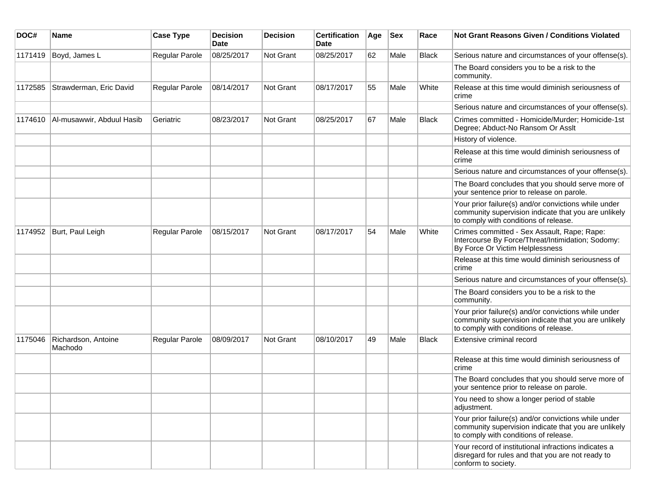| DOC#    | <b>Name</b>                    | <b>Case Type</b>      | <b>Decision</b><br><b>Date</b> | <b>Decision</b>  | <b>Certification</b><br>Date | Age | <b>Sex</b> | Race         | Not Grant Reasons Given / Conditions Violated                                                                                                         |
|---------|--------------------------------|-----------------------|--------------------------------|------------------|------------------------------|-----|------------|--------------|-------------------------------------------------------------------------------------------------------------------------------------------------------|
| 1171419 | Boyd, James L                  | Regular Parole        | 08/25/2017                     | Not Grant        | 08/25/2017                   | 62  | Male       | <b>Black</b> | Serious nature and circumstances of your offense(s).                                                                                                  |
|         |                                |                       |                                |                  |                              |     |            |              | The Board considers you to be a risk to the<br>community.                                                                                             |
| 1172585 | Strawderman, Eric David        | Regular Parole        | 08/14/2017                     | Not Grant        | 08/17/2017                   | 55  | Male       | White        | Release at this time would diminish seriousness of<br>crime                                                                                           |
|         |                                |                       |                                |                  |                              |     |            |              | Serious nature and circumstances of your offense(s).                                                                                                  |
| 1174610 | Al-musawwir, Abduul Hasib      | Geriatric             | 08/23/2017                     | <b>Not Grant</b> | 08/25/2017                   | 67  | Male       | <b>Black</b> | Crimes committed - Homicide/Murder; Homicide-1st<br>Degree; Abduct-No Ransom Or Asslt                                                                 |
|         |                                |                       |                                |                  |                              |     |            |              | History of violence.                                                                                                                                  |
|         |                                |                       |                                |                  |                              |     |            |              | Release at this time would diminish seriousness of<br>crime                                                                                           |
|         |                                |                       |                                |                  |                              |     |            |              | Serious nature and circumstances of your offense(s).                                                                                                  |
|         |                                |                       |                                |                  |                              |     |            |              | The Board concludes that you should serve more of<br>your sentence prior to release on parole.                                                        |
|         |                                |                       |                                |                  |                              |     |            |              | Your prior failure(s) and/or convictions while under<br>community supervision indicate that you are unlikely<br>to comply with conditions of release. |
| 1174952 | Burt, Paul Leigh               | Regular Parole        | 08/15/2017                     | Not Grant        | 08/17/2017                   | 54  | Male       | White        | Crimes committed - Sex Assault, Rape; Rape:<br>Intercourse By Force/Threat/Intimidation; Sodomy:<br>By Force Or Victim Helplessness                   |
|         |                                |                       |                                |                  |                              |     |            |              | Release at this time would diminish seriousness of<br>crime                                                                                           |
|         |                                |                       |                                |                  |                              |     |            |              | Serious nature and circumstances of your offense(s).                                                                                                  |
|         |                                |                       |                                |                  |                              |     |            |              | The Board considers you to be a risk to the<br>community.                                                                                             |
|         |                                |                       |                                |                  |                              |     |            |              | Your prior failure(s) and/or convictions while under<br>community supervision indicate that you are unlikely<br>to comply with conditions of release. |
| 1175046 | Richardson, Antoine<br>Machodo | <b>Regular Parole</b> | 08/09/2017                     | Not Grant        | 08/10/2017                   | 49  | Male       | <b>Black</b> | Extensive criminal record                                                                                                                             |
|         |                                |                       |                                |                  |                              |     |            |              | Release at this time would diminish seriousness of<br>crime                                                                                           |
|         |                                |                       |                                |                  |                              |     |            |              | The Board concludes that you should serve more of<br>your sentence prior to release on parole.                                                        |
|         |                                |                       |                                |                  |                              |     |            |              | You need to show a longer period of stable<br>adjustment.                                                                                             |
|         |                                |                       |                                |                  |                              |     |            |              | Your prior failure(s) and/or convictions while under<br>community supervision indicate that you are unlikely<br>to comply with conditions of release. |
|         |                                |                       |                                |                  |                              |     |            |              | Your record of institutional infractions indicates a<br>disregard for rules and that you are not ready to<br>conform to society.                      |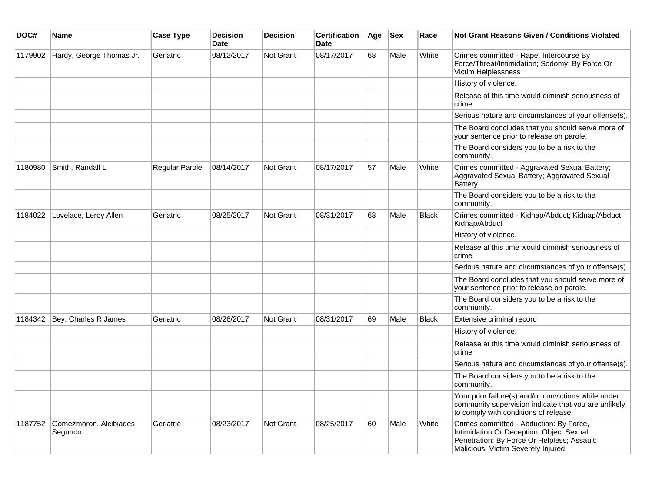| DOC#    | <b>Name</b>                       | <b>Case Type</b> | <b>Decision</b><br><b>Date</b> | <b>Decision</b>  | <b>Certification</b><br><b>Date</b> | Age | <b>Sex</b> | Race         | <b>Not Grant Reasons Given / Conditions Violated</b>                                                                                                                     |
|---------|-----------------------------------|------------------|--------------------------------|------------------|-------------------------------------|-----|------------|--------------|--------------------------------------------------------------------------------------------------------------------------------------------------------------------------|
| 1179902 | Hardy, George Thomas Jr.          | Geriatric        | 08/12/2017                     | <b>Not Grant</b> | 08/17/2017                          | 68  | Male       | White        | Crimes committed - Rape: Intercourse By<br>Force/Threat/Intimidation; Sodomy: By Force Or<br>Victim Helplessness                                                         |
|         |                                   |                  |                                |                  |                                     |     |            |              | History of violence.                                                                                                                                                     |
|         |                                   |                  |                                |                  |                                     |     |            |              | Release at this time would diminish seriousness of<br>crime                                                                                                              |
|         |                                   |                  |                                |                  |                                     |     |            |              | Serious nature and circumstances of your offense(s).                                                                                                                     |
|         |                                   |                  |                                |                  |                                     |     |            |              | The Board concludes that you should serve more of<br>your sentence prior to release on parole.                                                                           |
|         |                                   |                  |                                |                  |                                     |     |            |              | The Board considers you to be a risk to the<br>community.                                                                                                                |
| 1180980 | Smith, Randall L                  | Regular Parole   | 08/14/2017                     | Not Grant        | 08/17/2017                          | 57  | Male       | White        | Crimes committed - Aggravated Sexual Battery;<br>Aggravated Sexual Battery; Aggravated Sexual<br><b>Battery</b>                                                          |
|         |                                   |                  |                                |                  |                                     |     |            |              | The Board considers you to be a risk to the<br>community.                                                                                                                |
| 1184022 | Lovelace, Leroy Allen             | Geriatric        | 08/25/2017                     | <b>Not Grant</b> | 08/31/2017                          | 68  | Male       | <b>Black</b> | Crimes committed - Kidnap/Abduct; Kidnap/Abduct;<br>Kidnap/Abduct                                                                                                        |
|         |                                   |                  |                                |                  |                                     |     |            |              | History of violence.                                                                                                                                                     |
|         |                                   |                  |                                |                  |                                     |     |            |              | Release at this time would diminish seriousness of<br>crime                                                                                                              |
|         |                                   |                  |                                |                  |                                     |     |            |              | Serious nature and circumstances of your offense(s).                                                                                                                     |
|         |                                   |                  |                                |                  |                                     |     |            |              | The Board concludes that you should serve more of<br>your sentence prior to release on parole.                                                                           |
|         |                                   |                  |                                |                  |                                     |     |            |              | The Board considers you to be a risk to the<br>community.                                                                                                                |
| 1184342 | Bey, Charles R James              | Geriatric        | 08/26/2017                     | <b>Not Grant</b> | 08/31/2017                          | 69  | Male       | <b>Black</b> | Extensive criminal record                                                                                                                                                |
|         |                                   |                  |                                |                  |                                     |     |            |              | History of violence.                                                                                                                                                     |
|         |                                   |                  |                                |                  |                                     |     |            |              | Release at this time would diminish seriousness of<br>crime                                                                                                              |
|         |                                   |                  |                                |                  |                                     |     |            |              | Serious nature and circumstances of your offense(s).                                                                                                                     |
|         |                                   |                  |                                |                  |                                     |     |            |              | The Board considers you to be a risk to the<br>community.                                                                                                                |
|         |                                   |                  |                                |                  |                                     |     |            |              | Your prior failure(s) and/or convictions while under<br>community supervision indicate that you are unlikely<br>to comply with conditions of release.                    |
| 1187752 | Gomezmoron, Alcibiades<br>Segundo | Geriatric        | 08/23/2017                     | Not Grant        | 08/25/2017                          | 60  | Male       | White        | Crimes committed - Abduction: By Force,<br>Intimidation Or Deception; Object Sexual<br>Penetration: By Force Or Helpless; Assault:<br>Malicious, Victim Severely Injured |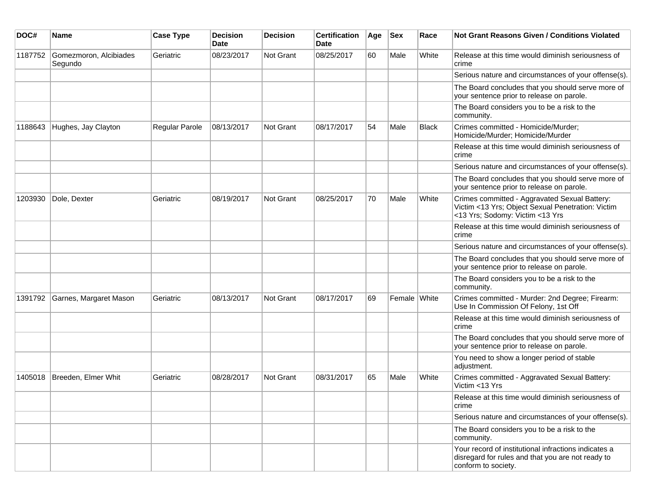| DOC#    | <b>Name</b>                       | <b>Case Type</b> | <b>Decision</b><br><b>Date</b> | <b>Decision</b> | <b>Certification</b><br>Date | Age | <b>Sex</b>   | Race         | <b>Not Grant Reasons Given / Conditions Violated</b>                                                                                  |
|---------|-----------------------------------|------------------|--------------------------------|-----------------|------------------------------|-----|--------------|--------------|---------------------------------------------------------------------------------------------------------------------------------------|
| 1187752 | Gomezmoron, Alcibiades<br>Segundo | Geriatric        | 08/23/2017                     | Not Grant       | 08/25/2017                   | 60  | Male         | White        | Release at this time would diminish seriousness of<br>crime                                                                           |
|         |                                   |                  |                                |                 |                              |     |              |              | Serious nature and circumstances of your offense(s).                                                                                  |
|         |                                   |                  |                                |                 |                              |     |              |              | The Board concludes that you should serve more of<br>your sentence prior to release on parole.                                        |
|         |                                   |                  |                                |                 |                              |     |              |              | The Board considers you to be a risk to the<br>community.                                                                             |
| 1188643 | Hughes, Jay Clayton               | Regular Parole   | 08/13/2017                     | Not Grant       | 08/17/2017                   | 54  | Male         | <b>Black</b> | Crimes committed - Homicide/Murder;<br>Homicide/Murder; Homicide/Murder                                                               |
|         |                                   |                  |                                |                 |                              |     |              |              | Release at this time would diminish seriousness of<br>crime                                                                           |
|         |                                   |                  |                                |                 |                              |     |              |              | Serious nature and circumstances of your offense(s).                                                                                  |
|         |                                   |                  |                                |                 |                              |     |              |              | The Board concludes that you should serve more of<br>your sentence prior to release on parole.                                        |
| 1203930 | Dole, Dexter                      | Geriatric        | 08/19/2017                     | Not Grant       | 08/25/2017                   | 70  | Male         | White        | Crimes committed - Aggravated Sexual Battery:<br>Victim <13 Yrs; Object Sexual Penetration: Victim<br><13 Yrs; Sodomy: Victim <13 Yrs |
|         |                                   |                  |                                |                 |                              |     |              |              | Release at this time would diminish seriousness of<br>crime                                                                           |
|         |                                   |                  |                                |                 |                              |     |              |              | Serious nature and circumstances of your offense(s).                                                                                  |
|         |                                   |                  |                                |                 |                              |     |              |              | The Board concludes that you should serve more of<br>your sentence prior to release on parole.                                        |
|         |                                   |                  |                                |                 |                              |     |              |              | The Board considers you to be a risk to the<br>community.                                                                             |
| 1391792 | Garnes, Margaret Mason            | Geriatric        | 08/13/2017                     | Not Grant       | 08/17/2017                   | 69  | Female White |              | Crimes committed - Murder: 2nd Degree; Firearm:<br>Use In Commission Of Felony, 1st Off                                               |
|         |                                   |                  |                                |                 |                              |     |              |              | Release at this time would diminish seriousness of<br>crime                                                                           |
|         |                                   |                  |                                |                 |                              |     |              |              | The Board concludes that you should serve more of<br>your sentence prior to release on parole.                                        |
|         |                                   |                  |                                |                 |                              |     |              |              | You need to show a longer period of stable<br>adjustment.                                                                             |
| 1405018 | Breeden, Elmer Whit               | Geriatric        | 08/28/2017                     | Not Grant       | 08/31/2017                   | 65  | Male         | White        | Crimes committed - Aggravated Sexual Battery:<br>Victim <13 Yrs                                                                       |
|         |                                   |                  |                                |                 |                              |     |              |              | Release at this time would diminish seriousness of<br>crime                                                                           |
|         |                                   |                  |                                |                 |                              |     |              |              | Serious nature and circumstances of your offense(s).                                                                                  |
|         |                                   |                  |                                |                 |                              |     |              |              | The Board considers you to be a risk to the<br>community.                                                                             |
|         |                                   |                  |                                |                 |                              |     |              |              | Your record of institutional infractions indicates a<br>disregard for rules and that you are not ready to<br>conform to society.      |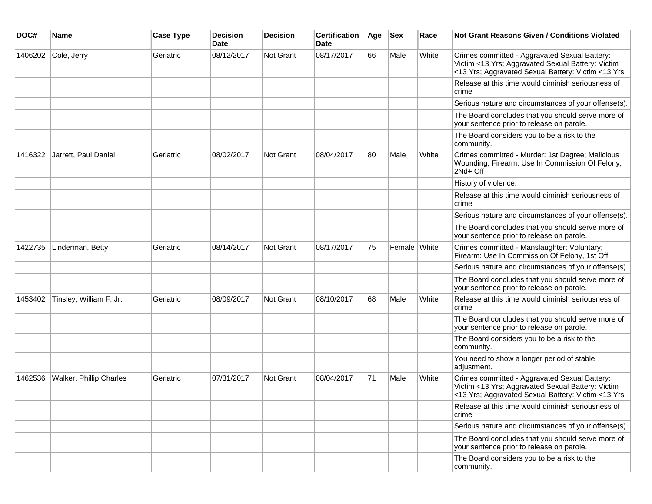| DOC#    | <b>Name</b>             | <b>Case Type</b> | <b>Decision</b><br><b>Date</b> | <b>Decision</b> | <b>Certification</b><br>Date | Age | <b>Sex</b>   | Race  | <b>Not Grant Reasons Given / Conditions Violated</b>                                                                                                     |
|---------|-------------------------|------------------|--------------------------------|-----------------|------------------------------|-----|--------------|-------|----------------------------------------------------------------------------------------------------------------------------------------------------------|
| 1406202 | Cole, Jerry             | Geriatric        | 08/12/2017                     | Not Grant       | 08/17/2017                   | 66  | Male         | White | Crimes committed - Aggravated Sexual Battery:<br>Victim <13 Yrs; Aggravated Sexual Battery: Victim<br><13 Yrs; Aggravated Sexual Battery: Victim <13 Yrs |
|         |                         |                  |                                |                 |                              |     |              |       | Release at this time would diminish seriousness of<br>crime                                                                                              |
|         |                         |                  |                                |                 |                              |     |              |       | Serious nature and circumstances of your offense(s).                                                                                                     |
|         |                         |                  |                                |                 |                              |     |              |       | The Board concludes that you should serve more of<br>your sentence prior to release on parole.                                                           |
|         |                         |                  |                                |                 |                              |     |              |       | The Board considers you to be a risk to the<br>community.                                                                                                |
| 1416322 | Jarrett, Paul Daniel    | Geriatric        | 08/02/2017                     | Not Grant       | 08/04/2017                   | 80  | Male         | White | Crimes committed - Murder: 1st Degree; Malicious<br>Wounding; Firearm: Use In Commission Of Felony,<br>2Nd+ Off                                          |
|         |                         |                  |                                |                 |                              |     |              |       | History of violence.                                                                                                                                     |
|         |                         |                  |                                |                 |                              |     |              |       | Release at this time would diminish seriousness of<br>crime                                                                                              |
|         |                         |                  |                                |                 |                              |     |              |       | Serious nature and circumstances of your offense(s).                                                                                                     |
|         |                         |                  |                                |                 |                              |     |              |       | The Board concludes that you should serve more of<br>your sentence prior to release on parole.                                                           |
| 1422735 | Linderman, Betty        | Geriatric        | 08/14/2017                     | Not Grant       | 08/17/2017                   | 75  | Female White |       | Crimes committed - Manslaughter: Voluntary;<br>Firearm: Use In Commission Of Felony, 1st Off                                                             |
|         |                         |                  |                                |                 |                              |     |              |       | Serious nature and circumstances of your offense(s).                                                                                                     |
|         |                         |                  |                                |                 |                              |     |              |       | The Board concludes that you should serve more of<br>your sentence prior to release on parole.                                                           |
| 1453402 | Tinsley, William F. Jr. | Geriatric        | 08/09/2017                     | Not Grant       | 08/10/2017                   | 68  | Male         | White | Release at this time would diminish seriousness of<br>crime                                                                                              |
|         |                         |                  |                                |                 |                              |     |              |       | The Board concludes that you should serve more of<br>your sentence prior to release on parole.                                                           |
|         |                         |                  |                                |                 |                              |     |              |       | The Board considers you to be a risk to the<br>community.                                                                                                |
|         |                         |                  |                                |                 |                              |     |              |       | You need to show a longer period of stable<br>adjustment.                                                                                                |
| 1462536 | Walker, Phillip Charles | Geriatric        | 07/31/2017                     | Not Grant       | 08/04/2017                   | 71  | Male         | White | Crimes committed - Aggravated Sexual Battery:<br>Victim <13 Yrs; Aggravated Sexual Battery: Victim<br><13 Yrs; Aggravated Sexual Battery: Victim <13 Yrs |
|         |                         |                  |                                |                 |                              |     |              |       | Release at this time would diminish seriousness of<br>crime                                                                                              |
|         |                         |                  |                                |                 |                              |     |              |       | Serious nature and circumstances of your offense(s).                                                                                                     |
|         |                         |                  |                                |                 |                              |     |              |       | The Board concludes that you should serve more of<br>your sentence prior to release on parole.                                                           |
|         |                         |                  |                                |                 |                              |     |              |       | The Board considers you to be a risk to the<br>community.                                                                                                |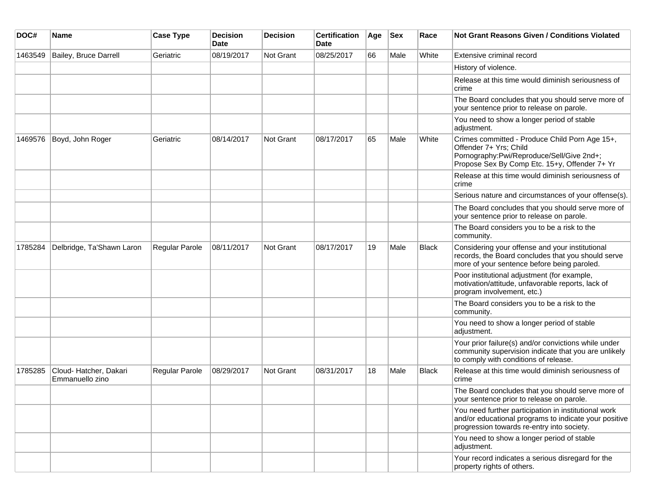| DOC#    | Name                                     | <b>Case Type</b>      | <b>Decision</b><br><b>Date</b> | <b>Decision</b> | <b>Certification</b><br><b>Date</b> | Age | <b>Sex</b> | Race  | <b>Not Grant Reasons Given / Conditions Violated</b>                                                                                                                   |
|---------|------------------------------------------|-----------------------|--------------------------------|-----------------|-------------------------------------|-----|------------|-------|------------------------------------------------------------------------------------------------------------------------------------------------------------------------|
| 1463549 | Bailey, Bruce Darrell                    | Geriatric             | 08/19/2017                     | Not Grant       | 08/25/2017                          | 66  | Male       | White | Extensive criminal record                                                                                                                                              |
|         |                                          |                       |                                |                 |                                     |     |            |       | History of violence.                                                                                                                                                   |
|         |                                          |                       |                                |                 |                                     |     |            |       | Release at this time would diminish seriousness of<br>crime                                                                                                            |
|         |                                          |                       |                                |                 |                                     |     |            |       | The Board concludes that you should serve more of<br>your sentence prior to release on parole.                                                                         |
|         |                                          |                       |                                |                 |                                     |     |            |       | You need to show a longer period of stable<br>adjustment.                                                                                                              |
| 1469576 | Boyd, John Roger                         | Geriatric             | 08/14/2017                     | Not Grant       | 08/17/2017                          | 65  | Male       | White | Crimes committed - Produce Child Porn Age 15+,<br>Offender 7+ Yrs; Child<br>Pornography:Pwi/Reproduce/Sell/Give 2nd+;<br>Propose Sex By Comp Etc. 15+y, Offender 7+ Yr |
|         |                                          |                       |                                |                 |                                     |     |            |       | Release at this time would diminish seriousness of<br>crime                                                                                                            |
|         |                                          |                       |                                |                 |                                     |     |            |       | Serious nature and circumstances of your offense(s).                                                                                                                   |
|         |                                          |                       |                                |                 |                                     |     |            |       | The Board concludes that you should serve more of<br>your sentence prior to release on parole.                                                                         |
|         |                                          |                       |                                |                 |                                     |     |            |       | The Board considers you to be a risk to the<br>community.                                                                                                              |
| 1785284 | Delbridge, Ta'Shawn Laron                | <b>Regular Parole</b> | 08/11/2017                     | Not Grant       | 08/17/2017                          | 19  | Male       | Black | Considering your offense and your institutional<br>records, the Board concludes that you should serve<br>more of your sentence before being paroled.                   |
|         |                                          |                       |                                |                 |                                     |     |            |       | Poor institutional adjustment (for example,<br>motivation/attitude, unfavorable reports, lack of<br>program involvement, etc.)                                         |
|         |                                          |                       |                                |                 |                                     |     |            |       | The Board considers you to be a risk to the<br>community.                                                                                                              |
|         |                                          |                       |                                |                 |                                     |     |            |       | You need to show a longer period of stable<br>adjustment.                                                                                                              |
|         |                                          |                       |                                |                 |                                     |     |            |       | Your prior failure(s) and/or convictions while under<br>community supervision indicate that you are unlikely<br>to comply with conditions of release.                  |
| 1785285 | Cloud-Hatcher, Dakari<br>Emmanuello zino | Regular Parole        | 08/29/2017                     | Not Grant       | 08/31/2017                          | 18  | Male       | Black | Release at this time would diminish seriousness of<br>crime                                                                                                            |
|         |                                          |                       |                                |                 |                                     |     |            |       | The Board concludes that you should serve more of<br>your sentence prior to release on parole.                                                                         |
|         |                                          |                       |                                |                 |                                     |     |            |       | You need further participation in institutional work<br>and/or educational programs to indicate your positive<br>progression towards re-entry into society.            |
|         |                                          |                       |                                |                 |                                     |     |            |       | You need to show a longer period of stable<br>adjustment.                                                                                                              |
|         |                                          |                       |                                |                 |                                     |     |            |       | Your record indicates a serious disregard for the<br>property rights of others.                                                                                        |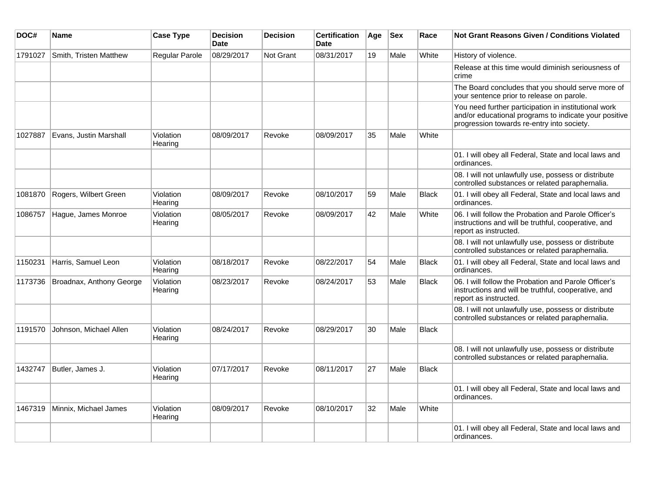| DOC#    | Name                     | <b>Case Type</b>      | <b>Decision</b><br><b>Date</b> | <b>Decision</b> | <b>Certification</b><br><b>Date</b> | Age | <b>Sex</b> | Race         | <b>Not Grant Reasons Given / Conditions Violated</b>                                                                                                        |
|---------|--------------------------|-----------------------|--------------------------------|-----------------|-------------------------------------|-----|------------|--------------|-------------------------------------------------------------------------------------------------------------------------------------------------------------|
| 1791027 | Smith, Tristen Matthew   | <b>Regular Parole</b> | 08/29/2017                     | Not Grant       | 08/31/2017                          | 19  | Male       | White        | History of violence.                                                                                                                                        |
|         |                          |                       |                                |                 |                                     |     |            |              | Release at this time would diminish seriousness of<br>crime                                                                                                 |
|         |                          |                       |                                |                 |                                     |     |            |              | The Board concludes that you should serve more of<br>your sentence prior to release on parole.                                                              |
|         |                          |                       |                                |                 |                                     |     |            |              | You need further participation in institutional work<br>and/or educational programs to indicate your positive<br>progression towards re-entry into society. |
| 1027887 | Evans, Justin Marshall   | Violation<br>Hearing  | 08/09/2017                     | Revoke          | 08/09/2017                          | 35  | Male       | White        |                                                                                                                                                             |
|         |                          |                       |                                |                 |                                     |     |            |              | 01. I will obey all Federal, State and local laws and<br>ordinances.                                                                                        |
|         |                          |                       |                                |                 |                                     |     |            |              | 08. I will not unlawfully use, possess or distribute<br>controlled substances or related paraphernalia.                                                     |
| 1081870 | Rogers, Wilbert Green    | Violation<br>Hearing  | 08/09/2017                     | Revoke          | 08/10/2017                          | 59  | Male       | Black        | 01. I will obey all Federal, State and local laws and<br>ordinances.                                                                                        |
| 1086757 | Hague, James Monroe      | Violation<br>Hearing  | 08/05/2017                     | Revoke          | 08/09/2017                          | 42  | Male       | White        | 06. I will follow the Probation and Parole Officer's<br>instructions and will be truthful, cooperative, and<br>report as instructed.                        |
|         |                          |                       |                                |                 |                                     |     |            |              | 08. I will not unlawfully use, possess or distribute<br>controlled substances or related paraphernalia.                                                     |
| 1150231 | Harris, Samuel Leon      | Violation<br>Hearing  | 08/18/2017                     | Revoke          | 08/22/2017                          | 54  | Male       | Black        | 01. I will obey all Federal, State and local laws and<br>ordinances.                                                                                        |
| 1173736 | Broadnax, Anthony George | Violation<br>Hearing  | 08/23/2017                     | Revoke          | 08/24/2017                          | 53  | Male       | <b>Black</b> | 06. I will follow the Probation and Parole Officer's<br>instructions and will be truthful, cooperative, and<br>report as instructed.                        |
|         |                          |                       |                                |                 |                                     |     |            |              | 08. I will not unlawfully use, possess or distribute<br>controlled substances or related paraphernalia.                                                     |
| 1191570 | Johnson, Michael Allen   | Violation<br>Hearing  | 08/24/2017                     | Revoke          | 08/29/2017                          | 30  | Male       | <b>Black</b> |                                                                                                                                                             |
|         |                          |                       |                                |                 |                                     |     |            |              | 08. I will not unlawfully use, possess or distribute<br>controlled substances or related paraphernalia.                                                     |
| 1432747 | Butler, James J.         | Violation<br>Hearing  | 07/17/2017                     | Revoke          | 08/11/2017                          | 27  | Male       | <b>Black</b> |                                                                                                                                                             |
|         |                          |                       |                                |                 |                                     |     |            |              | 01. I will obey all Federal, State and local laws and<br>ordinances.                                                                                        |
| 1467319 | Minnix, Michael James    | Violation<br>Hearing  | 08/09/2017                     | Revoke          | 08/10/2017                          | 32  | Male       | White        |                                                                                                                                                             |
|         |                          |                       |                                |                 |                                     |     |            |              | 01. I will obey all Federal, State and local laws and<br>ordinances.                                                                                        |